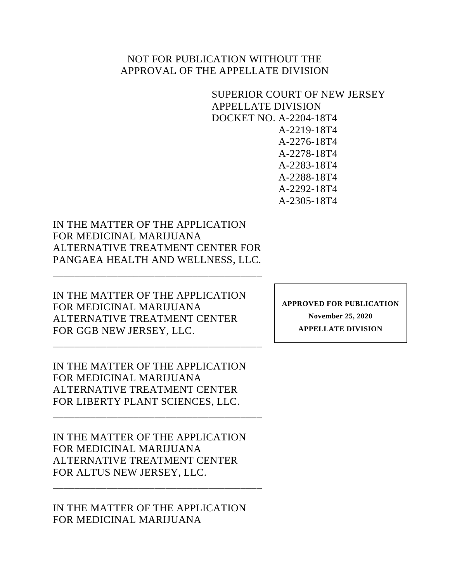## NOT FOR PUBLICATION WITHOUT THE APPROVAL OF THE APPELLATE DIVISION

<span id="page-0-0"></span>SUPERIOR COURT OF NEW JERSEY APPELLATE DIVISION DOCKET NO. A-2204-18T4 A-2219-18T4 A-2276-18T4 A-2278-18T4 A-2283-18T4 A-2288-18T4 A-2292-18T4 A-2305-18T4

IN THE MATTER OF THE APPLICATION FOR MEDICINAL MARIJUANA ALTERNATIVE TREATMENT CENTER FOR PANGAEA HEALTH AND WELLNESS, LLC.

\_\_\_\_\_\_\_\_\_\_\_\_\_\_\_\_\_\_\_\_\_\_\_\_\_\_\_\_\_\_\_\_\_\_\_\_\_\_\_

IN THE MATTER OF THE APPLICATION FOR MEDICINAL MARIJUANA ALTERNATIVE TREATMENT CENTER FOR GGB NEW JERSEY, LLC.

\_\_\_\_\_\_\_\_\_\_\_\_\_\_\_\_\_\_\_\_\_\_\_\_\_\_\_\_\_\_\_\_\_\_\_\_\_\_\_

IN THE MATTER OF THE APPLICATION FOR MEDICINAL MARIJUANA ALTERNATIVE TREATMENT CENTER FOR LIBERTY PLANT SCIENCES, LLC.

\_\_\_\_\_\_\_\_\_\_\_\_\_\_\_\_\_\_\_\_\_\_\_\_\_\_\_\_\_\_\_\_\_\_\_\_\_\_\_

IN THE MATTER OF THE APPLICATION FOR MEDICINAL MARIJUANA ALTERNATIVE TREATMENT CENTER FOR ALTUS NEW JERSEY, LLC.

IN THE MATTER OF THE APPLICATION FOR MEDICINAL MARIJUANA

\_\_\_\_\_\_\_\_\_\_\_\_\_\_\_\_\_\_\_\_\_\_\_\_\_\_\_\_\_\_\_\_\_\_\_\_\_\_\_

**APPROVED FOR PUBLICATION November 25, 2020 APPELLATE DIVISION**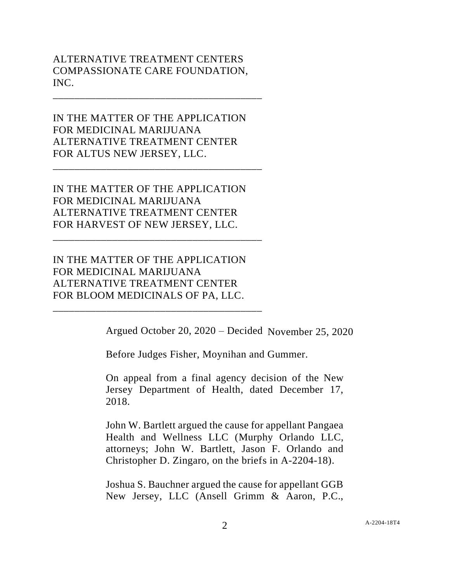## ALTERNATIVE TREATMENT CENTERS COMPASSIONATE CARE FOUNDATION, INC.

\_\_\_\_\_\_\_\_\_\_\_\_\_\_\_\_\_\_\_\_\_\_\_\_\_\_\_\_\_\_\_\_\_\_\_\_\_\_\_

IN THE MATTER OF THE APPLICATION FOR MEDICINAL MARIJUANA ALTERNATIVE TREATMENT CENTER FOR ALTUS NEW JERSEY, LLC.

\_\_\_\_\_\_\_\_\_\_\_\_\_\_\_\_\_\_\_\_\_\_\_\_\_\_\_\_\_\_\_\_\_\_\_\_\_\_\_

IN THE MATTER OF THE APPLICATION FOR MEDICINAL MARIJUANA ALTERNATIVE TREATMENT CENTER FOR HARVEST OF NEW JERSEY, LLC.

\_\_\_\_\_\_\_\_\_\_\_\_\_\_\_\_\_\_\_\_\_\_\_\_\_\_\_\_\_\_\_\_\_\_\_\_\_\_\_

IN THE MATTER OF THE APPLICATION FOR MEDICINAL MARIJUANA ALTERNATIVE TREATMENT CENTER FOR BLOOM MEDICINALS OF PA, LLC.

\_\_\_\_\_\_\_\_\_\_\_\_\_\_\_\_\_\_\_\_\_\_\_\_\_\_\_\_\_\_\_\_\_\_\_\_\_\_\_

Argued October 20, 2020 – Decided November 25, 2020

Before Judges Fisher, Moynihan and Gummer.

On appeal from a final agency decision of the New Jersey Department of Health, dated December 17, 2018.

John W. Bartlett argued the cause for appellant Pangaea Health and Wellness LLC (Murphy Orlando LLC, attorneys; John W. Bartlett, Jason F. Orlando and Christopher D. Zingaro, on the briefs in A-2204-18).

Joshua S. Bauchner argued the cause for appellant GGB New Jersey, LLC (Ansell Grimm & Aaron, P.C.,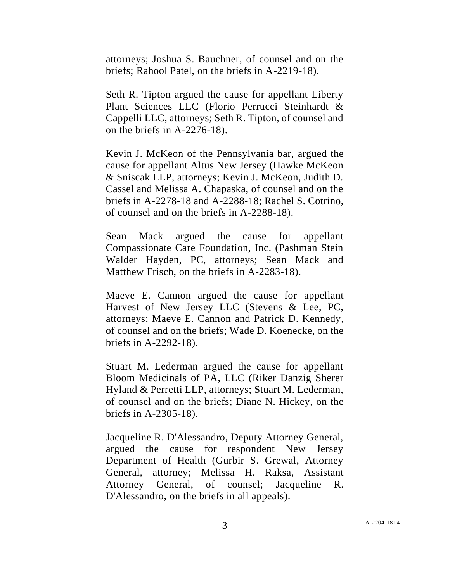attorneys; Joshua S. Bauchner, of counsel and on the briefs; Rahool Patel, on the briefs in A-2219-18).

Seth R. Tipton argued the cause for appellant Liberty Plant Sciences LLC (Florio Perrucci Steinhardt & Cappelli LLC, attorneys; Seth R. Tipton, of counsel and on the briefs in A-2276-18).

Kevin J. McKeon of the Pennsylvania bar, argued the cause for appellant Altus New Jersey (Hawke McKeon & Sniscak LLP, attorneys; Kevin J. McKeon, Judith D. Cassel and Melissa A. Chapaska, of counsel and on the briefs in A-2278-18 and A-2288-18; Rachel S. Cotrino, of counsel and on the briefs in A-2288-18).

Sean Mack argued the cause for appellant Compassionate Care Foundation, Inc. (Pashman Stein Walder Hayden, PC, attorneys; Sean Mack and Matthew Frisch, on the briefs in A-2283-18).

Maeve E. Cannon argued the cause for appellant Harvest of New Jersey LLC (Stevens & Lee, PC, attorneys; Maeve E. Cannon and Patrick D. Kennedy, of counsel and on the briefs; Wade D. Koenecke, on the briefs in A-2292-18).

Stuart M. Lederman argued the cause for appellant Bloom Medicinals of PA, LLC (Riker Danzig Sherer Hyland & Perretti LLP, attorneys; Stuart M. Lederman, of counsel and on the briefs; Diane N. Hickey, on the briefs in A-2305-18).

Jacqueline R. D'Alessandro, Deputy Attorney General, argued the cause for respondent New Jersey Department of Health (Gurbir S. Grewal, Attorney General, attorney; Melissa H. Raksa, Assistant Attorney General, of counsel; Jacqueline R. D'Alessandro, on the briefs in all appeals).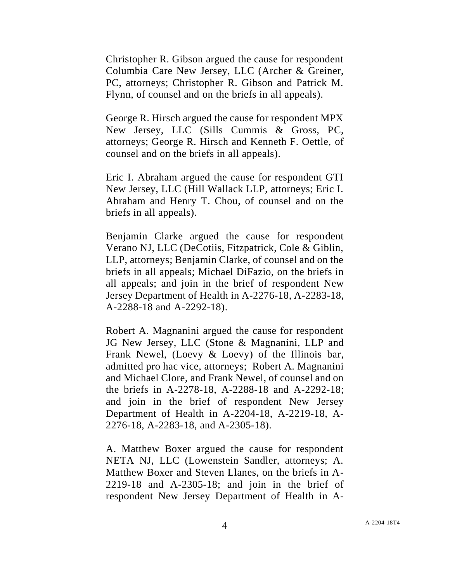Christopher R. Gibson argued the cause for respondent Columbia Care New Jersey, LLC (Archer & Greiner, PC, attorneys; Christopher R. Gibson and Patrick M. Flynn, of counsel and on the briefs in all appeals).

George R. Hirsch argued the cause for respondent MPX New Jersey, LLC (Sills Cummis & Gross, PC, attorneys; George R. Hirsch and Kenneth F. Oettle, of counsel and on the briefs in all appeals).

Eric I. Abraham argued the cause for respondent GTI New Jersey, LLC (Hill Wallack LLP, attorneys; Eric I. Abraham and Henry T. Chou, of counsel and on the briefs in all appeals).

Benjamin Clarke argued the cause for respondent Verano NJ, LLC (DeCotiis, Fitzpatrick, Cole & Giblin, LLP, attorneys; Benjamin Clarke, of counsel and on the briefs in all appeals; Michael DiFazio, on the briefs in all appeals; and join in the brief of respondent New Jersey Department of Health in A-2276-18, A-2283-18, A-2288-18 and A-2292-18).

Robert A. Magnanini argued the cause for respondent JG New Jersey, LLC (Stone & Magnanini, LLP and Frank Newel, (Loevy & Loevy) of the Illinois bar, admitted pro hac vice, attorneys; Robert A. Magnanini and Michael Clore, and Frank Newel, of counsel and on the briefs in A-2278-18, A-2288-18 and A-2292-18; and join in the brief of respondent New Jersey Department of Health in A-2204-18, A-2219-18, A-2276-18, A-2283-18, and A-2305-18).

A. Matthew Boxer argued the cause for respondent NETA NJ, LLC (Lowenstein Sandler, attorneys; A. Matthew Boxer and Steven Llanes, on the briefs in A-2219-18 and A-2305-18; and join in the brief of respondent New Jersey Department of Health in A-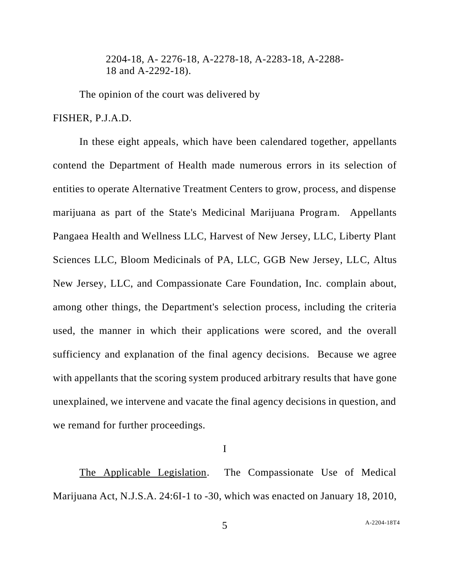2204-18, A- 2276-18, A-2278-18, A-2283-18, A-2288- 18 and A-2292-18).

The opinion of the court was delivered by

FISHER, P.J.A.D.

In these eight appeals, which have been calendared together, appellants contend the Department of Health made numerous errors in its selection of entities to operate Alternative Treatment Centers to grow, process, and dispense marijuana as part of the State's Medicinal Marijuana Program. Appellants Pangaea Health and Wellness LLC, Harvest of New Jersey, LLC, Liberty Plant Sciences LLC, Bloom Medicinals of PA, LLC, GGB New Jersey, LLC, Altus New Jersey, LLC, and Compassionate Care Foundation, Inc. complain about, among other things, the Department's selection process, including the criteria used, the manner in which their applications were scored, and the overall sufficiency and explanation of the final agency decisions. Because we agree with appellants that the scoring system produced arbitrary results that have gone unexplained, we intervene and vacate the final agency decisions in question, and we remand for further proceedings.

I

The Applicable Legislation. The Compassionate Use of Medical Marijuana Act, N.J.S.A. 24:6I-1 to -30, which was enacted on January 18, 2010,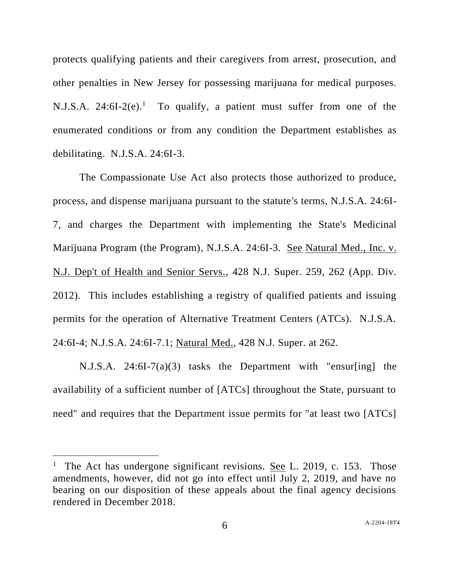protects qualifying patients and their caregivers from arrest, prosecution, and other penalties in New Jersey for possessing marijuana for medical purposes. N.J.S.A.  $24:6I-2(e)$ .<sup>1</sup> To qualify, a patient must suffer from one of the enumerated conditions or from any condition the Department establishes as debilitating. N.J.S.A. 24:6I-3.

The Compassionate Use Act also protects those authorized to produce, process, and dispense marijuana pursuant to the statute's terms, N.J.S.A. 24:6I-7, and charges the Department with implementing the State's Medicinal Marijuana Program (the Program), N.J.S.A. 24:6I-3. See Natural Med., Inc. v. N.J. Dep't of Health and Senior Servs., 428 N.J. Super. 259, 262 (App. Div. 2012). This includes establishing a registry of qualified patients and issuing permits for the operation of Alternative Treatment Centers (ATCs). N.J.S.A. 24:6I-4; N.J.S.A. 24:6I-7.1; Natural Med., 428 N.J. Super. at 262.

N.J.S.A. 24:6I-7(a)(3) tasks the Department with "ensur[ing] the availability of a sufficient number of [ATCs] throughout the State, pursuant to need" and requires that the Department issue permits for "at least two [ATCs]

<sup>&</sup>lt;sup>1</sup> The Act has undergone significant revisions. See L. 2019, c. 153. Those amendments, however, did not go into effect until July 2, 2019, and have no bearing on our disposition of these appeals about the final agency decisions rendered in December 2018.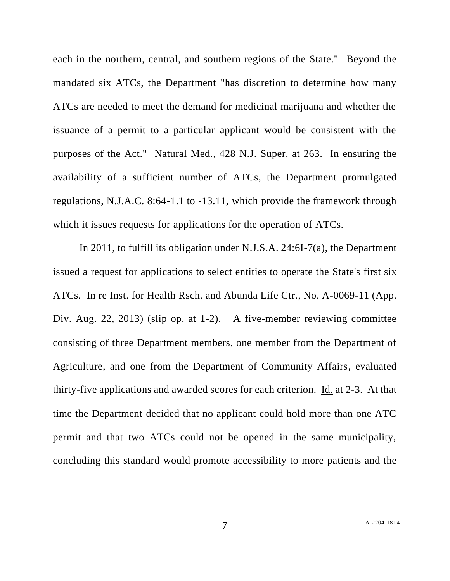each in the northern, central, and southern regions of the State." Beyond the mandated six ATCs, the Department "has discretion to determine how many ATCs are needed to meet the demand for medicinal marijuana and whether the issuance of a permit to a particular applicant would be consistent with the purposes of the Act." Natural Med., 428 N.J. Super. at 263. In ensuring the availability of a sufficient number of ATCs, the Department promulgated regulations, N.J.A.C. 8:64-1.1 to -13.11, which provide the framework through which it issues requests for applications for the operation of ATCs.

In 2011, to fulfill its obligation under N.J.S.A. 24:6I-7(a), the Department issued a request for applications to select entities to operate the State's first six ATCs. In re Inst. for Health Rsch. and Abunda Life Ctr., No. A-0069-11 (App. Div. Aug. 22, 2013) (slip op. at 1-2). A five-member reviewing committee consisting of three Department members, one member from the Department of Agriculture, and one from the Department of Community Affairs, evaluated thirty-five applications and awarded scores for each criterion. Id. at 2-3. At that time the Department decided that no applicant could hold more than one ATC permit and that two ATCs could not be opened in the same municipality, concluding this standard would promote accessibility to more patients and the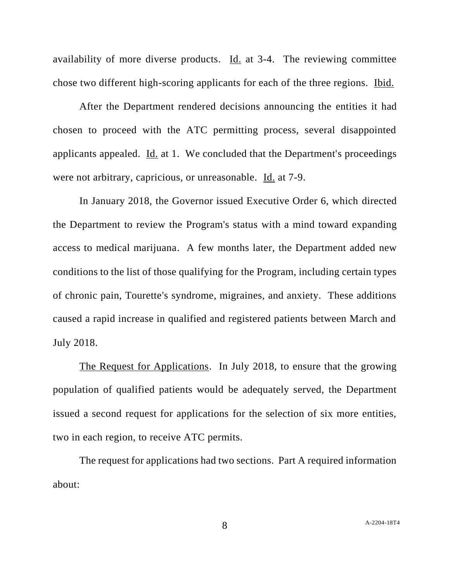availability of more diverse products. Id. at 3-4. The reviewing committee chose two different high-scoring applicants for each of the three regions. Ibid.

After the Department rendered decisions announcing the entities it had chosen to proceed with the ATC permitting process, several disappointed applicants appealed. Id. at 1. We concluded that the Department's proceedings were not arbitrary, capricious, or unreasonable. Id. at 7-9.

In January 2018, the Governor issued Executive Order 6, which directed the Department to review the Program's status with a mind toward expanding access to medical marijuana. A few months later, the Department added new conditions to the list of those qualifying for the Program, including certain types of chronic pain, Tourette's syndrome, migraines, and anxiety. These additions caused a rapid increase in qualified and registered patients between March and July 2018.

The Request for Applications. In July 2018, to ensure that the growing population of qualified patients would be adequately served, the Department issued a second request for applications for the selection of six more entities, two in each region, to receive ATC permits.

The request for applications had two sections. Part A required information about: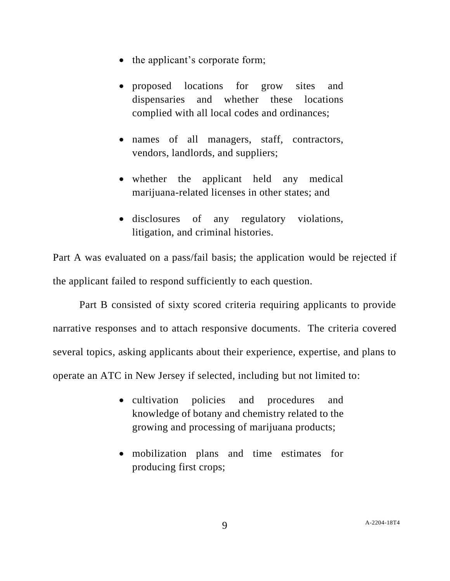- the applicant's corporate form;
- proposed locations for grow sites and dispensaries and whether these locations complied with all local codes and ordinances;
- names of all managers, staff, contractors, vendors, landlords, and suppliers;
- whether the applicant held any medical marijuana-related licenses in other states; and
- disclosures of any regulatory violations, litigation, and criminal histories.

Part A was evaluated on a pass/fail basis; the application would be rejected if the applicant failed to respond sufficiently to each question.

Part B consisted of sixty scored criteria requiring applicants to provide narrative responses and to attach responsive documents. The criteria covered several topics, asking applicants about their experience, expertise, and plans to operate an ATC in New Jersey if selected, including but not limited to:

- cultivation policies and procedures and knowledge of botany and chemistry related to the growing and processing of marijuana products;
- mobilization plans and time estimates for producing first crops;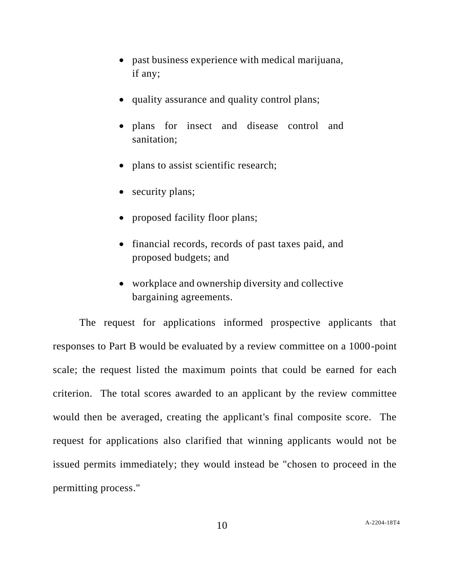- past business experience with medical marijuana, if any;
- quality assurance and quality control plans;
- plans for insect and disease control and sanitation;
- plans to assist scientific research;
- security plans;
- proposed facility floor plans;
- financial records, records of past taxes paid, and proposed budgets; and
- workplace and ownership diversity and collective bargaining agreements.

The request for applications informed prospective applicants that responses to Part B would be evaluated by a review committee on a 1000-point scale; the request listed the maximum points that could be earned for each criterion. The total scores awarded to an applicant by the review committee would then be averaged, creating the applicant's final composite score. The request for applications also clarified that winning applicants would not be issued permits immediately; they would instead be "chosen to proceed in the permitting process."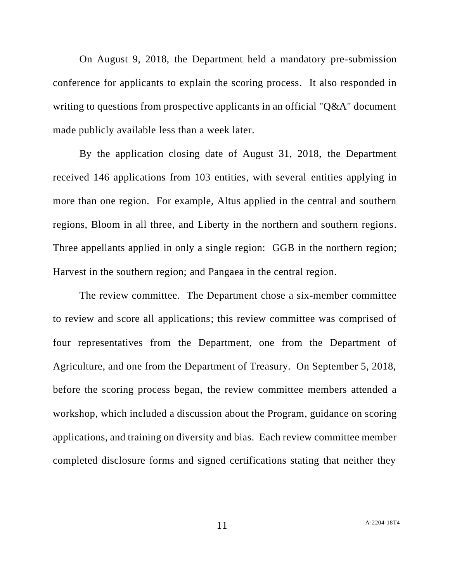On August 9, 2018, the Department held a mandatory pre-submission conference for applicants to explain the scoring process. It also responded in writing to questions from prospective applicants in an official "O&A" document made publicly available less than a week later.

By the application closing date of August 31, 2018, the Department received 146 applications from 103 entities, with several entities applying in more than one region. For example, Altus applied in the central and southern regions, Bloom in all three, and Liberty in the northern and southern regions. Three appellants applied in only a single region: GGB in the northern region; Harvest in the southern region; and Pangaea in the central region.

The review committee. The Department chose a six-member committee to review and score all applications; this review committee was comprised of four representatives from the Department, one from the Department of Agriculture, and one from the Department of Treasury. On September 5, 2018, before the scoring process began, the review committee members attended a workshop, which included a discussion about the Program, guidance on scoring applications, and training on diversity and bias. Each review committee member completed disclosure forms and signed certifications stating that neither they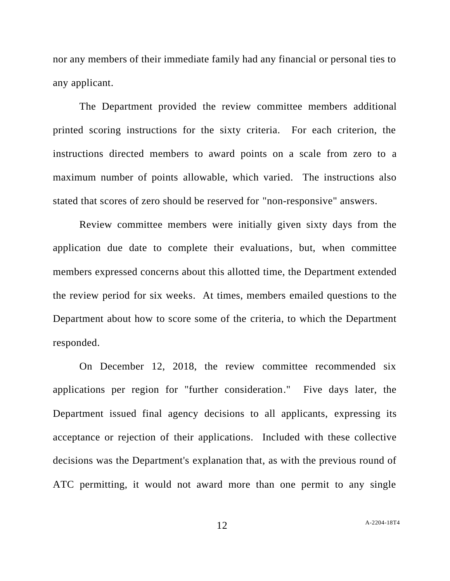nor any members of their immediate family had any financial or personal ties to any applicant.

The Department provided the review committee members additional printed scoring instructions for the sixty criteria. For each criterion, the instructions directed members to award points on a scale from zero to a maximum number of points allowable, which varied. The instructions also stated that scores of zero should be reserved for "non-responsive" answers.

Review committee members were initially given sixty days from the application due date to complete their evaluations, but, when committee members expressed concerns about this allotted time, the Department extended the review period for six weeks. At times, members emailed questions to the Department about how to score some of the criteria, to which the Department responded.

On December 12, 2018, the review committee recommended six applications per region for "further consideration." Five days later, the Department issued final agency decisions to all applicants, expressing its acceptance or rejection of their applications. Included with these collective decisions was the Department's explanation that, as with the previous round of ATC permitting, it would not award more than one permit to any single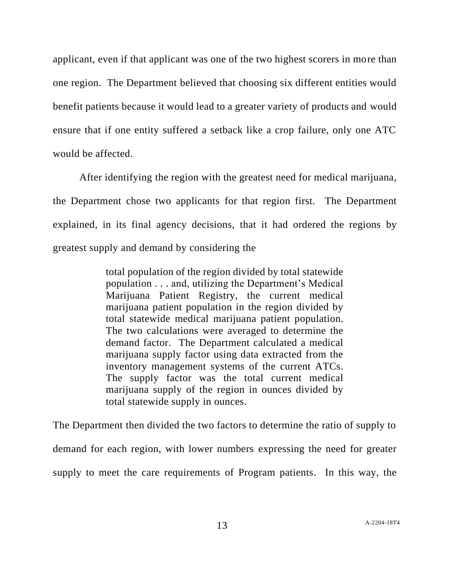applicant, even if that applicant was one of the two highest scorers in more than one region. The Department believed that choosing six different entities would benefit patients because it would lead to a greater variety of products and would ensure that if one entity suffered a setback like a crop failure, only one ATC would be affected.

After identifying the region with the greatest need for medical marijuana, the Department chose two applicants for that region first. The Department explained, in its final agency decisions, that it had ordered the regions by greatest supply and demand by considering the

> total population of the region divided by total statewide population . . . and, utilizing the Department's Medical Marijuana Patient Registry, the current medical marijuana patient population in the region divided by total statewide medical marijuana patient population. The two calculations were averaged to determine the demand factor. The Department calculated a medical marijuana supply factor using data extracted from the inventory management systems of the current ATCs. The supply factor was the total current medical marijuana supply of the region in ounces divided by total statewide supply in ounces.

The Department then divided the two factors to determine the ratio of supply to demand for each region, with lower numbers expressing the need for greater supply to meet the care requirements of Program patients. In this way, the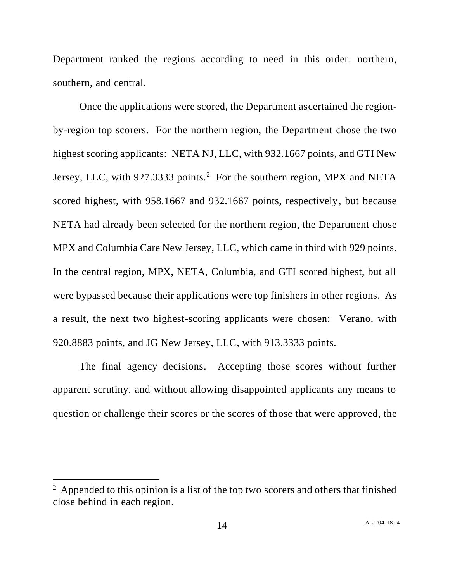Department ranked the regions according to need in this order: northern, southern, and central.

Once the applications were scored, the Department ascertained the regionby-region top scorers. For the northern region, the Department chose the two highest scoring applicants: NETA NJ, LLC, with 932.1667 points, and GTI New Jersey, LLC, with 927.3333 points.<sup>2</sup> For the southern region, MPX and NETA scored highest, with 958.1667 and 932.1667 points, respectively, but because NETA had already been selected for the northern region, the Department chose MPX and Columbia Care New Jersey, LLC, which came in third with 929 points. In the central region, MPX, NETA, Columbia, and GTI scored highest, but all were bypassed because their applications were top finishers in other regions. As a result, the next two highest-scoring applicants were chosen: Verano, with 920.8883 points, and JG New Jersey, LLC, with 913.3333 points.

The final agency decisions. Accepting those scores without further apparent scrutiny, and without allowing disappointed applicants any means to question or challenge their scores or the scores of those that were approved, the

 $2 \text{ Appended to this opinion is a list of the top two scores and others that finished$ close behind in each region.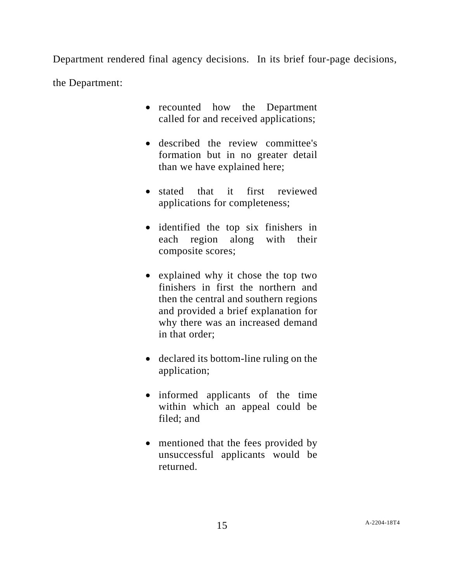Department rendered final agency decisions. In its brief four-page decisions,

the Department:

- recounted how the Department called for and received applications;
- described the review committee's formation but in no greater detail than we have explained here;
- stated that it first reviewed applications for completeness;
- identified the top six finishers in each region along with their composite scores;
- explained why it chose the top two finishers in first the northern and then the central and southern regions and provided a brief explanation for why there was an increased demand in that order;
- declared its bottom-line ruling on the application;
- informed applicants of the time within which an appeal could be filed; and
- mentioned that the fees provided by unsuccessful applicants would be returned.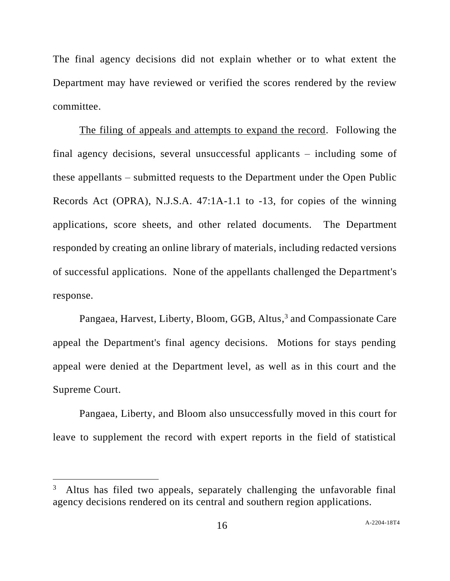The final agency decisions did not explain whether or to what extent the Department may have reviewed or verified the scores rendered by the review committee.

The filing of appeals and attempts to expand the record. Following the final agency decisions, several unsuccessful applicants – including some of these appellants – submitted requests to the Department under the Open Public Records Act (OPRA), N.J.S.A. 47:1A-1.1 to -13, for copies of the winning applications, score sheets, and other related documents. The Department responded by creating an online library of materials, including redacted versions of successful applications. None of the appellants challenged the Department's response.

Pangaea, Harvest, Liberty, Bloom, GGB, Altus,<sup>3</sup> and Compassionate Care appeal the Department's final agency decisions. Motions for stays pending appeal were denied at the Department level, as well as in this court and the Supreme Court.

Pangaea, Liberty, and Bloom also unsuccessfully moved in this court for leave to supplement the record with expert reports in the field of statistical

Altus has filed two appeals, separately challenging the unfavorable final agency decisions rendered on its central and southern region applications.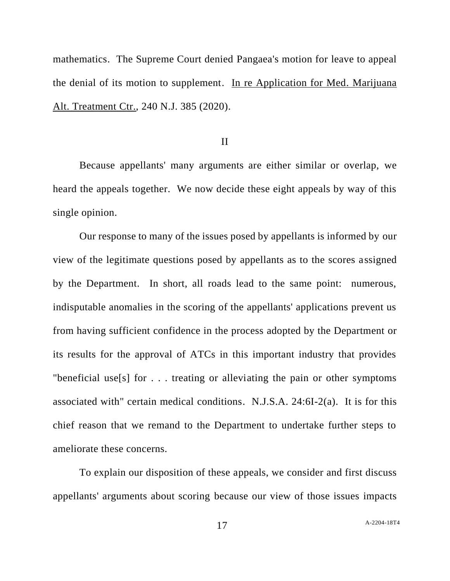mathematics. The Supreme Court denied Pangaea's motion for leave to appeal the denial of its motion to supplement. In re Application for Med. Marijuana Alt. Treatment Ctr., 240 N.J. 385 (2020).

## II

Because appellants' many arguments are either similar or overlap, we heard the appeals together. We now decide these eight appeals by way of this single opinion.

Our response to many of the issues posed by appellants is informed by our view of the legitimate questions posed by appellants as to the scores assigned by the Department. In short, all roads lead to the same point: numerous, indisputable anomalies in the scoring of the appellants' applications prevent us from having sufficient confidence in the process adopted by the Department or its results for the approval of ATCs in this important industry that provides "beneficial use<sup>[s]</sup> for  $\ldots$  treating or alleviating the pain or other symptoms associated with" certain medical conditions. N.J.S.A. 24:6I-2(a). It is for this chief reason that we remand to the Department to undertake further steps to ameliorate these concerns.

To explain our disposition of these appeals, we consider and first discuss appellants' arguments about scoring because our view of those issues impacts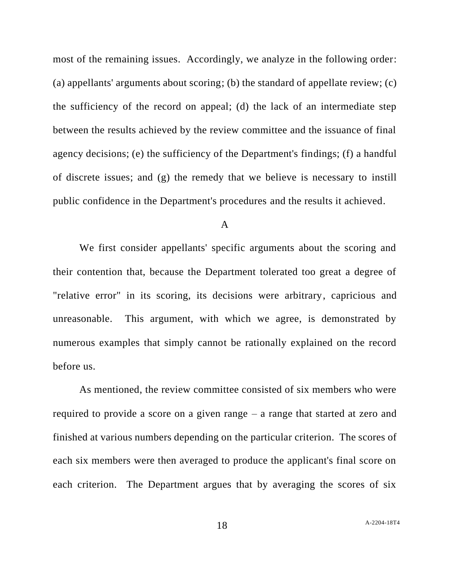most of the remaining issues. Accordingly, we analyze in the following order: (a) appellants' arguments about scoring; (b) the standard of appellate review; (c) the sufficiency of the record on appeal; (d) the lack of an intermediate step between the results achieved by the review committee and the issuance of final agency decisions; (e) the sufficiency of the Department's findings; (f) a handful of discrete issues; and (g) the remedy that we believe is necessary to instill public confidence in the Department's procedures and the results it achieved.

## A

We first consider appellants' specific arguments about the scoring and their contention that, because the Department tolerated too great a degree of "relative error" in its scoring, its decisions were arbitrary, capricious and unreasonable. This argument, with which we agree, is demonstrated by numerous examples that simply cannot be rationally explained on the record before us.

As mentioned, the review committee consisted of six members who were required to provide a score on a given range – a range that started at zero and finished at various numbers depending on the particular criterion. The scores of each six members were then averaged to produce the applicant's final score on each criterion. The Department argues that by averaging the scores of six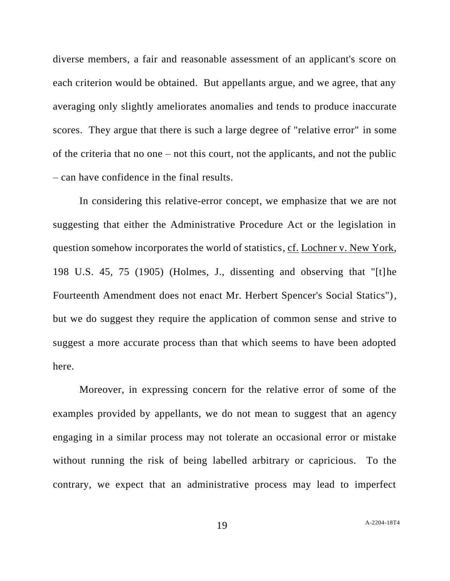diverse members, a fair and reasonable assessment of an applicant's score on each criterion would be obtained. But appellants argue, and we agree, that any averaging only slightly ameliorates anomalies and tends to produce inaccurate scores. They argue that there is such a large degree of "relative error" in some of the criteria that no one – not this court, not the applicants, and not the public – can have confidence in the final results.

In considering this relative-error concept, we emphasize that we are not suggesting that either the Administrative Procedure Act or the legislation in question somehow incorporates the world of statistics, cf. Lochner v. New York, 198 U.S. 45, 75 (1905) (Holmes, J., dissenting and observing that "[t]he Fourteenth Amendment does not enact Mr. Herbert Spencer's Social Statics"), but we do suggest they require the application of common sense and strive to suggest a more accurate process than that which seems to have been adopted here.

Moreover, in expressing concern for the relative error of some of the examples provided by appellants, we do not mean to suggest that an agency engaging in a similar process may not tolerate an occasional error or mistake without running the risk of being labelled arbitrary or capricious. To the contrary, we expect that an administrative process may lead to imperfect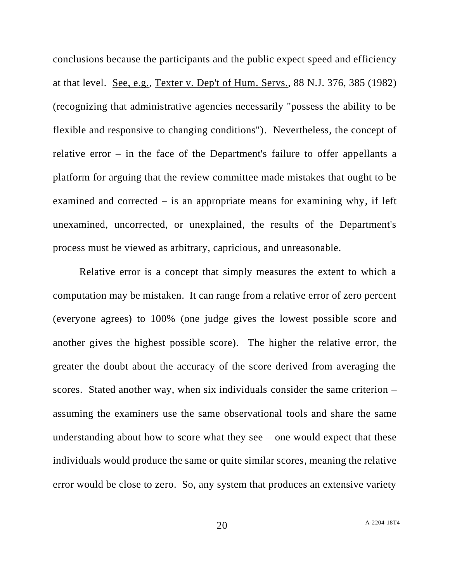conclusions because the participants and the public expect speed and efficiency at that level. See, e.g., Texter v. Dep't of Hum. Servs., 88 N.J. 376, 385 (1982) (recognizing that administrative agencies necessarily "possess the ability to be flexible and responsive to changing conditions"). Nevertheless, the concept of relative error – in the face of the Department's failure to offer appellants a platform for arguing that the review committee made mistakes that ought to be examined and corrected – is an appropriate means for examining why, if left unexamined, uncorrected, or unexplained, the results of the Department's process must be viewed as arbitrary, capricious, and unreasonable.

Relative error is a concept that simply measures the extent to which a computation may be mistaken. It can range from a relative error of zero percent (everyone agrees) to 100% (one judge gives the lowest possible score and another gives the highest possible score). The higher the relative error, the greater the doubt about the accuracy of the score derived from averaging the scores. Stated another way, when six individuals consider the same criterion – assuming the examiners use the same observational tools and share the same understanding about how to score what they see – one would expect that these individuals would produce the same or quite similar scores, meaning the relative error would be close to zero. So, any system that produces an extensive variety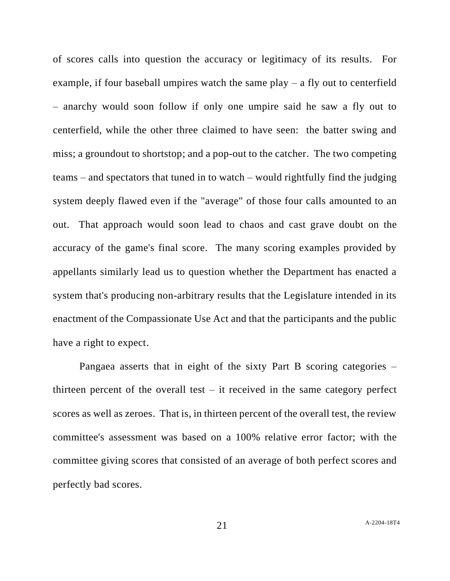of scores calls into question the accuracy or legitimacy of its results. For example, if four baseball umpires watch the same play  $-$  a fly out to centerfield – anarchy would soon follow if only one umpire said he saw a fly out to centerfield, while the other three claimed to have seen: the batter swing and miss; a groundout to shortstop; and a pop-out to the catcher. The two competing teams – and spectators that tuned in to watch – would rightfully find the judging system deeply flawed even if the "average" of those four calls amounted to an out. That approach would soon lead to chaos and cast grave doubt on the accuracy of the game's final score. The many scoring examples provided by appellants similarly lead us to question whether the Department has enacted a system that's producing non-arbitrary results that the Legislature intended in its enactment of the Compassionate Use Act and that the participants and the public have a right to expect.

Pangaea asserts that in eight of the sixty Part B scoring categories – thirteen percent of the overall test  $-$  it received in the same category perfect scores as well as zeroes. That is, in thirteen percent of the overall test, the review committee's assessment was based on a 100% relative error factor; with the committee giving scores that consisted of an average of both perfect scores and perfectly bad scores.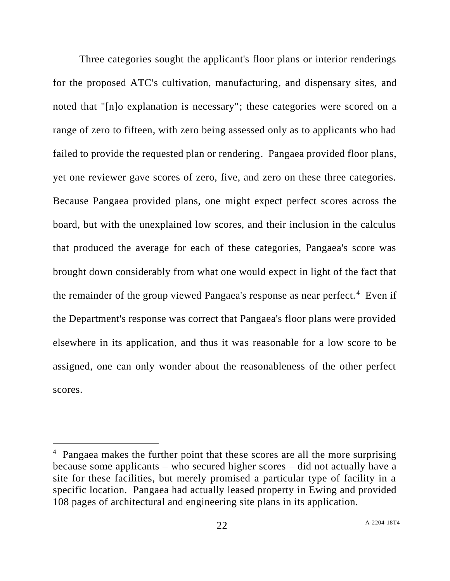Three categories sought the applicant's floor plans or interior renderings for the proposed ATC's cultivation, manufacturing, and dispensary sites, and noted that "[n]o explanation is necessary"; these categories were scored on a range of zero to fifteen, with zero being assessed only as to applicants who had failed to provide the requested plan or rendering. Pangaea provided floor plans, yet one reviewer gave scores of zero, five, and zero on these three categories. Because Pangaea provided plans, one might expect perfect scores across the board, but with the unexplained low scores, and their inclusion in the calculus that produced the average for each of these categories, Pangaea's score was brought down considerably from what one would expect in light of the fact that the remainder of the group viewed Pangaea's response as near perfect.<sup>4</sup> Even if the Department's response was correct that Pangaea's floor plans were provided elsewhere in its application, and thus it was reasonable for a low score to be assigned, one can only wonder about the reasonableness of the other perfect scores.

<sup>&</sup>lt;sup>4</sup> Pangaea makes the further point that these scores are all the more surprising because some applicants – who secured higher scores – did not actually have a site for these facilities, but merely promised a particular type of facility in a specific location. Pangaea had actually leased property in Ewing and provided 108 pages of architectural and engineering site plans in its application.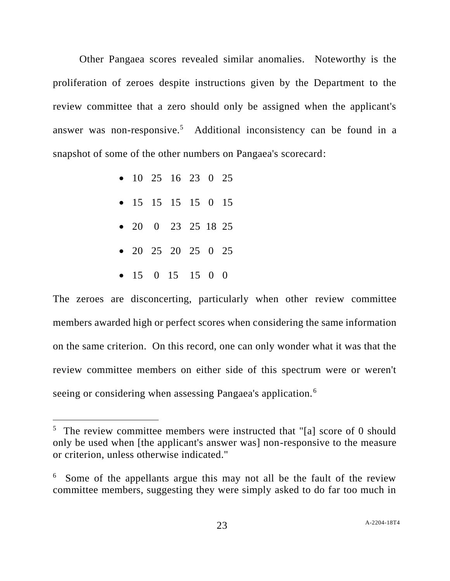Other Pangaea scores revealed similar anomalies. Noteworthy is the proliferation of zeroes despite instructions given by the Department to the review committee that a zero should only be assigned when the applicant's answer was non-responsive.<sup>5</sup> Additional inconsistency can be found in a snapshot of some of the other numbers on Pangaea's scorecard:

- 10 25 16 23 0 25
- 15 15 15 15 0 15
- 20 0 23 25 18 25
- 20 25 20 25 0 25
- $\bullet$  15 0 15 15 0 0

The zeroes are disconcerting, particularly when other review committee members awarded high or perfect scores when considering the same information on the same criterion. On this record, one can only wonder what it was that the review committee members on either side of this spectrum were or weren't seeing or considering when assessing Pangaea's application.<sup>6</sup>

<sup>&</sup>lt;sup>5</sup> The review committee members were instructed that "[a] score of 0 should only be used when [the applicant's answer was] non-responsive to the measure or criterion, unless otherwise indicated."

Some of the appellants argue this may not all be the fault of the review committee members, suggesting they were simply asked to do far too much in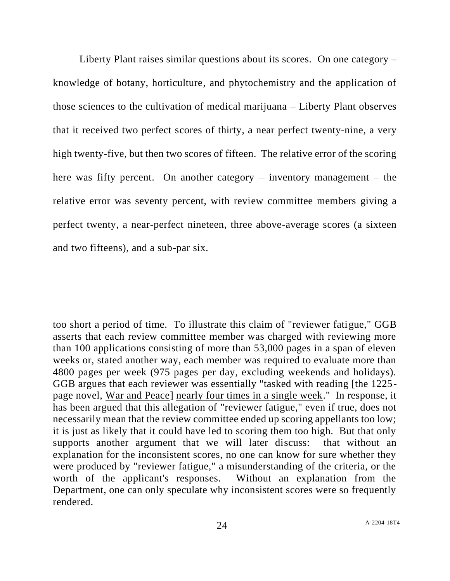Liberty Plant raises similar questions about its scores. On one category – knowledge of botany, horticulture, and phytochemistry and the application of those sciences to the cultivation of medical marijuana – Liberty Plant observes that it received two perfect scores of thirty, a near perfect twenty-nine, a very high twenty-five, but then two scores of fifteen. The relative error of the scoring here was fifty percent. On another category – inventory management – the relative error was seventy percent, with review committee members giving a perfect twenty, a near-perfect nineteen, three above-average scores (a sixteen and two fifteens), and a sub-par six.

too short a period of time. To illustrate this claim of "reviewer fatigue," GGB asserts that each review committee member was charged with reviewing more than 100 applications consisting of more than 53,000 pages in a span of eleven weeks or, stated another way, each member was required to evaluate more than 4800 pages per week (975 pages per day, excluding weekends and holidays). GGB argues that each reviewer was essentially "tasked with reading [the 1225 page novel, War and Peace] nearly four times in a single week." In response, it has been argued that this allegation of "reviewer fatigue," even if true, does not necessarily mean that the review committee ended up scoring appellants too low; it is just as likely that it could have led to scoring them too high. But that only supports another argument that we will later discuss: that without an explanation for the inconsistent scores, no one can know for sure whether they were produced by "reviewer fatigue," a misunderstanding of the criteria, or the worth of the applicant's responses. Without an explanation from the Department, one can only speculate why inconsistent scores were so frequently rendered.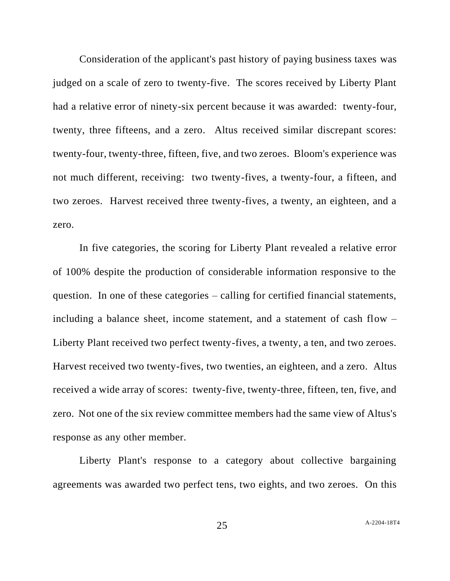Consideration of the applicant's past history of paying business taxes was judged on a scale of zero to twenty-five. The scores received by Liberty Plant had a relative error of ninety-six percent because it was awarded: twenty-four, twenty, three fifteens, and a zero. Altus received similar discrepant scores: twenty-four, twenty-three, fifteen, five, and two zeroes. Bloom's experience was not much different, receiving: two twenty-fives, a twenty-four, a fifteen, and two zeroes. Harvest received three twenty-fives, a twenty, an eighteen, and a zero.

In five categories, the scoring for Liberty Plant revealed a relative error of 100% despite the production of considerable information responsive to the question. In one of these categories – calling for certified financial statements, including a balance sheet, income statement, and a statement of cash flow – Liberty Plant received two perfect twenty-fives, a twenty, a ten, and two zeroes. Harvest received two twenty-fives, two twenties, an eighteen, and a zero. Altus received a wide array of scores: twenty-five, twenty-three, fifteen, ten, five, and zero. Not one of the six review committee members had the same view of Altus's response as any other member.

Liberty Plant's response to a category about collective bargaining agreements was awarded two perfect tens, two eights, and two zeroes. On this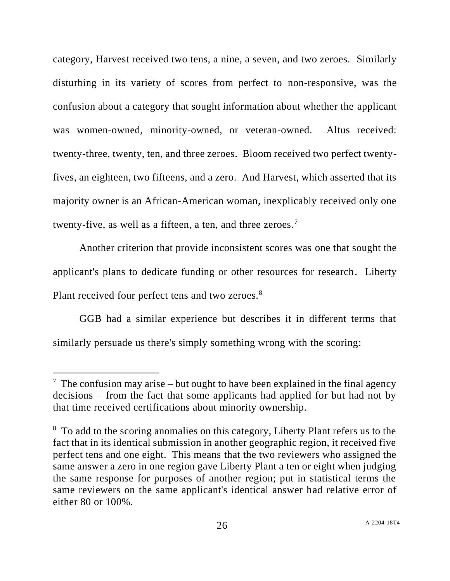category, Harvest received two tens, a nine, a seven, and two zeroes. Similarly disturbing in its variety of scores from perfect to non-responsive, was the confusion about a category that sought information about whether the applicant was women-owned, minority-owned, or veteran-owned. Altus received: twenty-three, twenty, ten, and three zeroes. Bloom received two perfect twentyfives, an eighteen, two fifteens, and a zero. And Harvest, which asserted that its majority owner is an African-American woman, inexplicably received only one twenty-five, as well as a fifteen, a ten, and three zeroes.<sup>7</sup>

Another criterion that provide inconsistent scores was one that sought the applicant's plans to dedicate funding or other resources for research. Liberty Plant received four perfect tens and two zeroes.<sup>8</sup>

GGB had a similar experience but describes it in different terms that similarly persuade us there's simply something wrong with the scoring:

 $7$  The confusion may arise – but ought to have been explained in the final agency decisions – from the fact that some applicants had applied for but had not by that time received certifications about minority ownership.

<sup>&</sup>lt;sup>8</sup> To add to the scoring anomalies on this category, Liberty Plant refers us to the fact that in its identical submission in another geographic region, it received five perfect tens and one eight. This means that the two reviewers who assigned the same answer a zero in one region gave Liberty Plant a ten or eight when judging the same response for purposes of another region; put in statistical terms the same reviewers on the same applicant's identical answer had relative error of either 80 or 100%.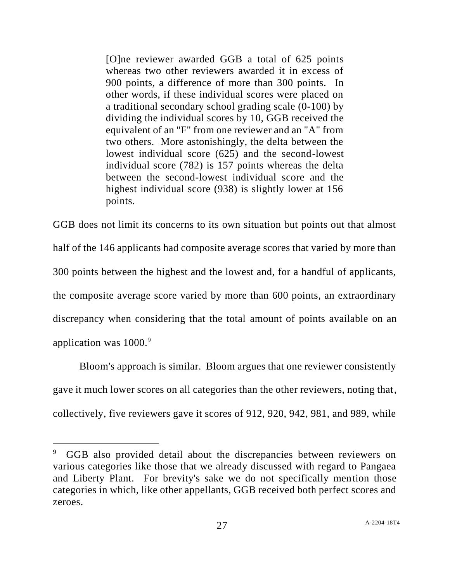[O]ne reviewer awarded GGB a total of 625 points whereas two other reviewers awarded it in excess of 900 points, a difference of more than 300 points. In other words, if these individual scores were placed on a traditional secondary school grading scale (0-100) by dividing the individual scores by 10, GGB received the equivalent of an "F" from one reviewer and an "A" from two others. More astonishingly, the delta between the lowest individual score (625) and the second-lowest individual score (782) is 157 points whereas the delta between the second-lowest individual score and the highest individual score (938) is slightly lower at 156 points.

GGB does not limit its concerns to its own situation but points out that almost half of the 146 applicants had composite average scores that varied by more than 300 points between the highest and the lowest and, for a handful of applicants, the composite average score varied by more than 600 points, an extraordinary discrepancy when considering that the total amount of points available on an application was 1000.<sup>9</sup>

Bloom's approach is similar. Bloom argues that one reviewer consistently gave it much lower scores on all categories than the other reviewers, noting that, collectively, five reviewers gave it scores of 912, 920, 942, 981, and 989, while

<sup>9</sup> GGB also provided detail about the discrepancies between reviewers on various categories like those that we already discussed with regard to Pangaea and Liberty Plant. For brevity's sake we do not specifically mention those categories in which, like other appellants, GGB received both perfect scores and zeroes.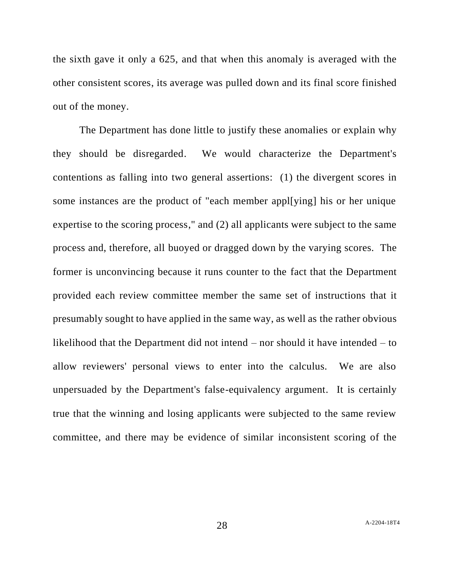the sixth gave it only a 625, and that when this anomaly is averaged with the other consistent scores, its average was pulled down and its final score finished out of the money.

The Department has done little to justify these anomalies or explain why they should be disregarded. We would characterize the Department's contentions as falling into two general assertions: (1) the divergent scores in some instances are the product of "each member appl[ying] his or her unique expertise to the scoring process," and (2) all applicants were subject to the same process and, therefore, all buoyed or dragged down by the varying scores. The former is unconvincing because it runs counter to the fact that the Department provided each review committee member the same set of instructions that it presumably sought to have applied in the same way, as well as the rather obvious likelihood that the Department did not intend – nor should it have intended – to allow reviewers' personal views to enter into the calculus. We are also unpersuaded by the Department's false-equivalency argument. It is certainly true that the winning and losing applicants were subjected to the same review committee, and there may be evidence of similar inconsistent scoring of the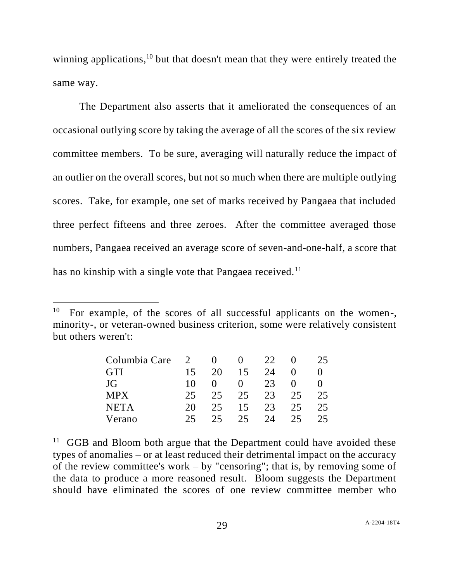winning applications,<sup>10</sup> but that doesn't mean that they were entirely treated the same way.

The Department also asserts that it ameliorated the consequences of an occasional outlying score by taking the average of all the scores of the six review committee members. To be sure, averaging will naturally reduce the impact of an outlier on the overall scores, but not so much when there are multiple outlying scores. Take, for example, one set of marks received by Pangaea that included three perfect fifteens and three zeroes. After the committee averaged those numbers, Pangaea received an average score of seven-and-one-half, a score that has no kinship with a single vote that Pangaea received.<sup>11</sup>

<sup>&</sup>lt;sup>10</sup> For example, of the scores of all successful applicants on the women-, minority-, or veteran-owned business criterion, some were relatively consistent but others weren't:

| Columbia Care | 2  |     |                   | 22 |    | 25 |
|---------------|----|-----|-------------------|----|----|----|
| <b>GTI</b>    | 15 | 20  | 15                | 24 |    |    |
| JG            | 10 |     | $\mathbf{\Omega}$ | 23 |    |    |
| <b>MPX</b>    | 25 | 25  | 25                | 23 | 25 | 25 |
| <b>NETA</b>   | 20 | 25  | 15                | 23 | 25 | 25 |
| Verano        | 25 | 25. | 25.               | 24 | 25 | 25 |

 $11$  GGB and Bloom both argue that the Department could have avoided these types of anomalies – or at least reduced their detrimental impact on the accuracy of the review committee's work – by "censoring"; that is, by removing some of the data to produce a more reasoned result. Bloom suggests the Department should have eliminated the scores of one review committee member who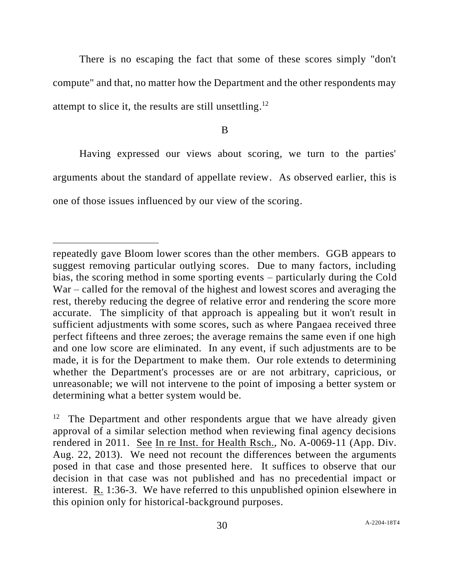There is no escaping the fact that some of these scores simply "don't compute" and that, no matter how the Department and the other respondents may attempt to slice it, the results are still unsettling.<sup>12</sup>

B

Having expressed our views about scoring, we turn to the parties' arguments about the standard of appellate review. As observed earlier, this is one of those issues influenced by our view of the scoring.

repeatedly gave Bloom lower scores than the other members. GGB appears to suggest removing particular outlying scores. Due to many factors, including bias, the scoring method in some sporting events – particularly during the Cold War – called for the removal of the highest and lowest scores and averaging the rest, thereby reducing the degree of relative error and rendering the score more accurate. The simplicity of that approach is appealing but it won't result in sufficient adjustments with some scores, such as where Pangaea received three perfect fifteens and three zeroes; the average remains the same even if one high and one low score are eliminated. In any event, if such adjustments are to be made, it is for the Department to make them. Our role extends to determining whether the Department's processes are or are not arbitrary, capricious, or unreasonable; we will not intervene to the point of imposing a better system or determining what a better system would be.

 $12$  The Department and other respondents argue that we have already given approval of a similar selection method when reviewing final agency decisions rendered in 2011. See In re Inst. for Health Rsch., No. A-0069-11 (App. Div. Aug. 22, 2013). We need not recount the differences between the arguments posed in that case and those presented here. It suffices to observe that our decision in that case was not published and has no precedential impact or interest. R. 1:36-3. We have referred to this unpublished opinion elsewhere in this opinion only for historical-background purposes.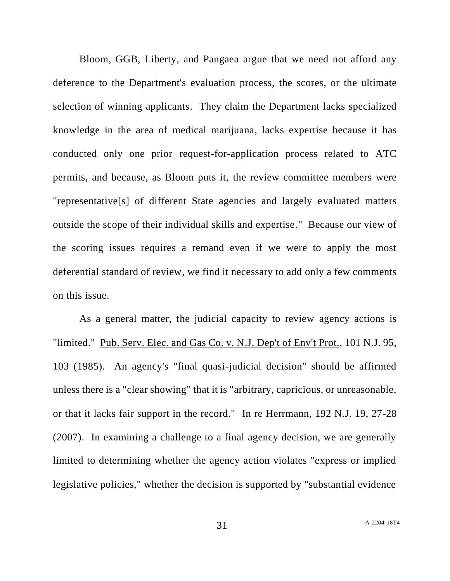Bloom, GGB, Liberty, and Pangaea argue that we need not afford any deference to the Department's evaluation process, the scores, or the ultimate selection of winning applicants. They claim the Department lacks specialized knowledge in the area of medical marijuana, lacks expertise because it has conducted only one prior request-for-application process related to ATC permits, and because, as Bloom puts it, the review committee members were "representative[s] of different State agencies and largely evaluated matters outside the scope of their individual skills and expertise." Because our view of the scoring issues requires a remand even if we were to apply the most deferential standard of review, we find it necessary to add only a few comments on this issue.

As a general matter, the judicial capacity to review agency actions is "limited." Pub. Serv. Elec. and Gas Co. v. N.J. Dep't of Env't Prot., 101 N.J. 95, 103 (1985). An agency's "final quasi-judicial decision" should be affirmed unless there is a "clear showing" that it is "arbitrary, capricious, or unreasonable, or that it lacks fair support in the record." In re Herrmann, 192 N.J. 19, 27-28 (2007). In examining a challenge to a final agency decision, we are generally limited to determining whether the agency action violates "express or implied legislative policies," whether the decision is supported by "substantial evidence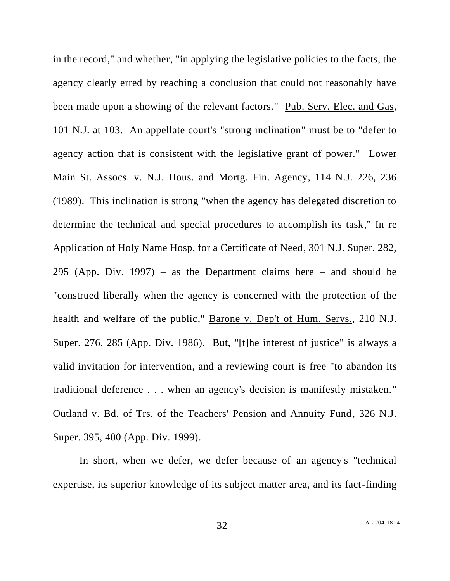in the record," and whether, "in applying the legislative policies to the facts, the agency clearly erred by reaching a conclusion that could not reasonably have been made upon a showing of the relevant factors." Pub. Serv. Elec. and Gas, 101 N.J. at 103. An appellate court's "strong inclination" must be to "defer to agency action that is consistent with the legislative grant of power." Lower Main St. Assocs. v. N.J. Hous. and Mortg. Fin. Agency, 114 N.J. 226, 236 (1989). This inclination is strong "when the agency has delegated discretion to determine the technical and special procedures to accomplish its task," In re Application of Holy Name Hosp. for a Certificate of Need, 301 N.J. Super. 282, 295 (App. Div. 1997) – as the Department claims here – and should be "construed liberally when the agency is concerned with the protection of the health and welfare of the public," Barone v. Dep't of Hum. Servs., 210 N.J. Super. 276, 285 (App. Div. 1986). But, "[t]he interest of justice" is always a valid invitation for intervention, and a reviewing court is free "to abandon its traditional deference . . . when an agency's decision is manifestly mistaken." Outland v. Bd. of Trs. of the Teachers' Pension and Annuity Fund, 326 N.J. Super. 395, 400 (App. Div. 1999).

In short, when we defer, we defer because of an agency's "technical expertise, its superior knowledge of its subject matter area, and its fact-finding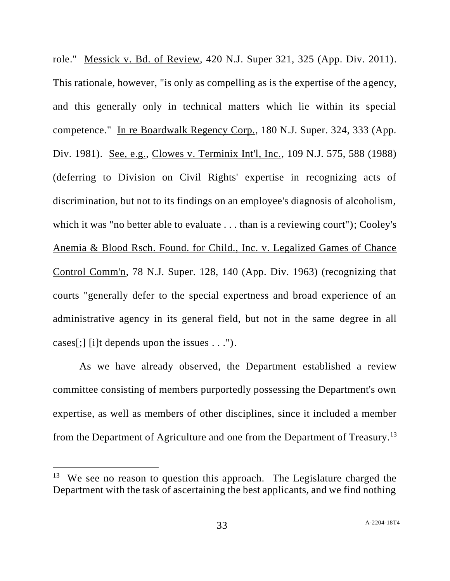role." Messick v. Bd. of Review, 420 N.J. Super 321, 325 (App. Div. 2011). This rationale, however, "is only as compelling as is the expertise of the agency, and this generally only in technical matters which lie within its special competence." In re Boardwalk Regency Corp., 180 N.J. Super. 324, 333 (App. Div. 1981). See, e.g., Clowes v. Terminix Int'l, Inc., 109 N.J. 575, 588 (1988) (deferring to Division on Civil Rights' expertise in recognizing acts of discrimination, but not to its findings on an employee's diagnosis of alcoholism, which it was "no better able to evaluate . . . than is a reviewing court"); Cooley's Anemia & Blood Rsch. Found. for Child., Inc. v. Legalized Games of Chance Control Comm'n, 78 N.J. Super. 128, 140 (App. Div. 1963) (recognizing that courts "generally defer to the special expertness and broad experience of an administrative agency in its general field, but not in the same degree in all cases[;] [i]t depends upon the issues . . .").

As we have already observed, the Department established a review committee consisting of members purportedly possessing the Department's own expertise, as well as members of other disciplines, since it included a member from the Department of Agriculture and one from the Department of Treasury.<sup>13</sup>

 $13$  We see no reason to question this approach. The Legislature charged the Department with the task of ascertaining the best applicants, and we find nothing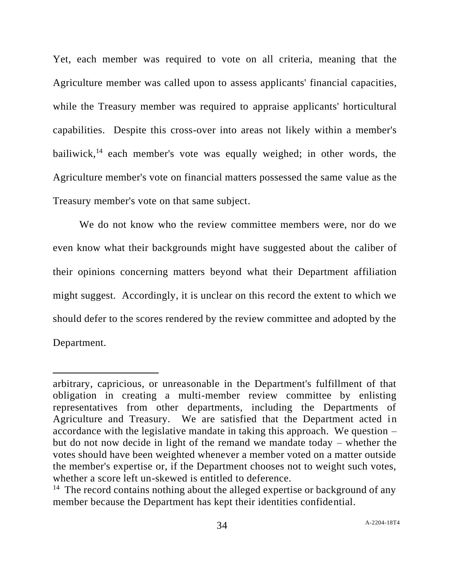Yet, each member was required to vote on all criteria, meaning that the Agriculture member was called upon to assess applicants' financial capacities, while the Treasury member was required to appraise applicants' horticultural capabilities. Despite this cross-over into areas not likely within a member's bailiwick, $14$  each member's vote was equally weighed; in other words, the Agriculture member's vote on financial matters possessed the same value as the Treasury member's vote on that same subject.

We do not know who the review committee members were, nor do we even know what their backgrounds might have suggested about the caliber of their opinions concerning matters beyond what their Department affiliation might suggest. Accordingly, it is unclear on this record the extent to which we should defer to the scores rendered by the review committee and adopted by the Department.

arbitrary, capricious, or unreasonable in the Department's fulfillment of that obligation in creating a multi-member review committee by enlisting representatives from other departments, including the Departments of Agriculture and Treasury. We are satisfied that the Department acted in accordance with the legislative mandate in taking this approach. We question – but do not now decide in light of the remand we mandate today – whether the votes should have been weighted whenever a member voted on a matter outside the member's expertise or, if the Department chooses not to weight such votes, whether a score left un-skewed is entitled to deference.

 $14$  The record contains nothing about the alleged expertise or background of any member because the Department has kept their identities confidential.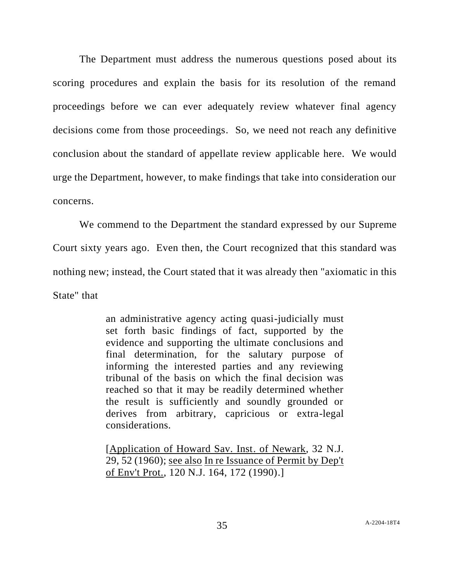The Department must address the numerous questions posed about its scoring procedures and explain the basis for its resolution of the remand proceedings before we can ever adequately review whatever final agency decisions come from those proceedings. So, we need not reach any definitive conclusion about the standard of appellate review applicable here. We would urge the Department, however, to make findings that take into consideration our concerns.

We commend to the Department the standard expressed by our Supreme Court sixty years ago. Even then, the Court recognized that this standard was nothing new; instead, the Court stated that it was already then "axiomatic in this State" that

> an administrative agency acting quasi-judicially must set forth basic findings of fact, supported by the evidence and supporting the ultimate conclusions and final determination, for the salutary purpose of informing the interested parties and any reviewing tribunal of the basis on which the final decision was reached so that it may be readily determined whether the result is sufficiently and soundly grounded or derives from arbitrary, capricious or extra-legal considerations.

> [Application of Howard Sav. Inst. of Newark, 32 N.J. 29, 52 (1960); see also In re Issuance of Permit by Dep't of Env't Prot., 120 N.J. 164, 172 (1990).]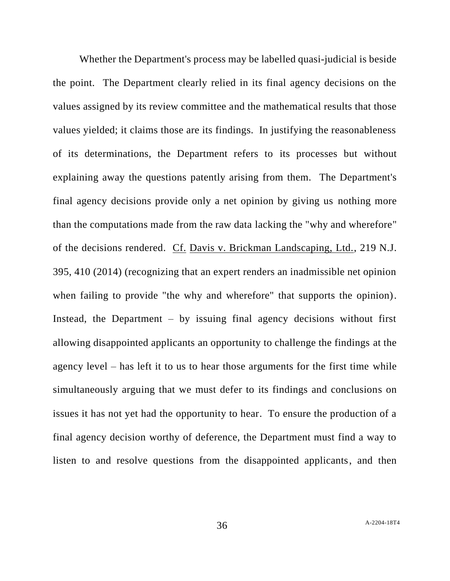Whether the Department's process may be labelled quasi-judicial is beside the point. The Department clearly relied in its final agency decisions on the values assigned by its review committee and the mathematical results that those values yielded; it claims those are its findings. In justifying the reasonableness of its determinations, the Department refers to its processes but without explaining away the questions patently arising from them. The Department's final agency decisions provide only a net opinion by giving us nothing more than the computations made from the raw data lacking the "why and wherefore" of the decisions rendered. Cf. Davis v. Brickman Landscaping, Ltd., 219 N.J. 395, 410 (2014) (recognizing that an expert renders an inadmissible net opinion when failing to provide "the why and wherefore" that supports the opinion). Instead, the Department  $-$  by issuing final agency decisions without first allowing disappointed applicants an opportunity to challenge the findings at the agency level – has left it to us to hear those arguments for the first time while simultaneously arguing that we must defer to its findings and conclusions on issues it has not yet had the opportunity to hear. To ensure the production of a final agency decision worthy of deference, the Department must find a way to listen to and resolve questions from the disappointed applicants, and then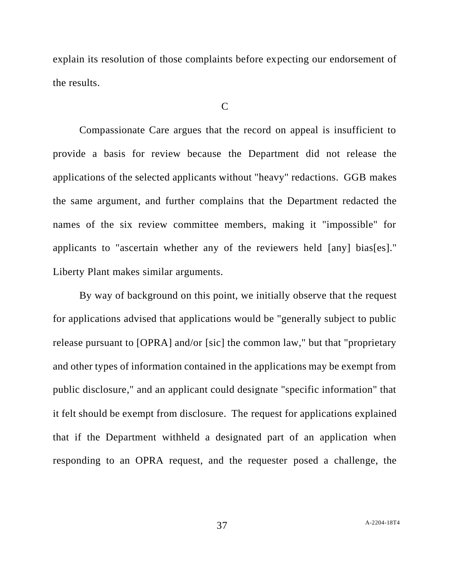explain its resolution of those complaints before expecting our endorsement of the results.

## $\mathcal{C}$

Compassionate Care argues that the record on appeal is insufficient to provide a basis for review because the Department did not release the applications of the selected applicants without "heavy" redactions. GGB makes the same argument, and further complains that the Department redacted the names of the six review committee members, making it "impossible" for applicants to "ascertain whether any of the reviewers held [any] bias[es]." Liberty Plant makes similar arguments.

By way of background on this point, we initially observe that the request for applications advised that applications would be "generally subject to public release pursuant to [OPRA] and/or [sic] the common law," but that "proprietary and other types of information contained in the applications may be exempt from public disclosure," and an applicant could designate "specific information" that it felt should be exempt from disclosure. The request for applications explained that if the Department withheld a designated part of an application when responding to an OPRA request, and the requester posed a challenge, the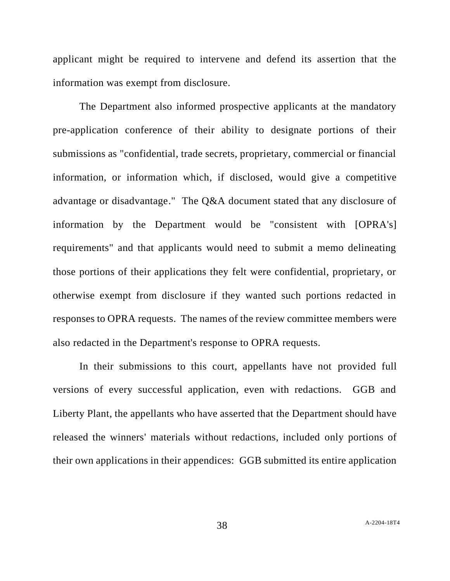applicant might be required to intervene and defend its assertion that the information was exempt from disclosure.

The Department also informed prospective applicants at the mandatory pre-application conference of their ability to designate portions of their submissions as "confidential, trade secrets, proprietary, commercial or financial information, or information which, if disclosed, would give a competitive advantage or disadvantage." The Q&A document stated that any disclosure of information by the Department would be "consistent with [OPRA's] requirements" and that applicants would need to submit a memo delineating those portions of their applications they felt were confidential, proprietary, or otherwise exempt from disclosure if they wanted such portions redacted in responses to OPRA requests. The names of the review committee members were also redacted in the Department's response to OPRA requests.

In their submissions to this court, appellants have not provided full versions of every successful application, even with redactions. GGB and Liberty Plant, the appellants who have asserted that the Department should have released the winners' materials without redactions, included only portions of their own applications in their appendices: GGB submitted its entire application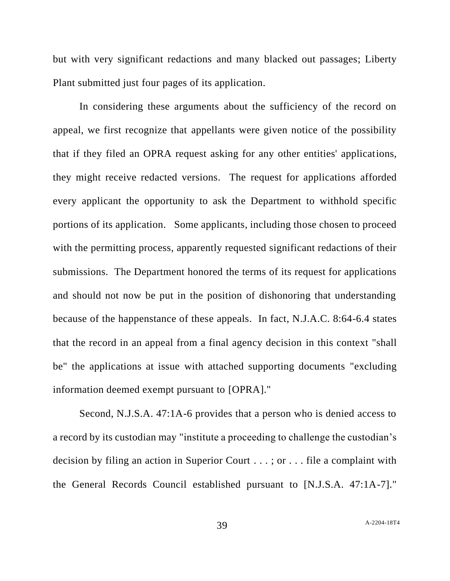but with very significant redactions and many blacked out passages; Liberty Plant submitted just four pages of its application.

In considering these arguments about the sufficiency of the record on appeal, we first recognize that appellants were given notice of the possibility that if they filed an OPRA request asking for any other entities' applications, they might receive redacted versions. The request for applications afforded every applicant the opportunity to ask the Department to withhold specific portions of its application. Some applicants, including those chosen to proceed with the permitting process, apparently requested significant redactions of their submissions. The Department honored the terms of its request for applications and should not now be put in the position of dishonoring that understanding because of the happenstance of these appeals. In fact, N.J.A.C. 8:64-6.4 states that the record in an appeal from a final agency decision in this context "shall be" the applications at issue with attached supporting documents "excluding information deemed exempt pursuant to [OPRA]."

Second, N.J.S.A. 47:1A-6 provides that a person who is denied access to a record by its custodian may "institute a proceeding to challenge the custodian's decision by filing an action in Superior Court . . . ; or . . . file a complaint with the General Records Council established pursuant to [N.J.S.A. 47:1A-7]."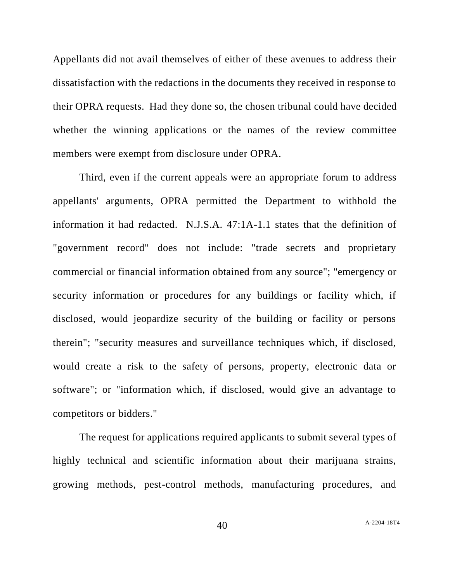Appellants did not avail themselves of either of these avenues to address their dissatisfaction with the redactions in the documents they received in response to their OPRA requests. Had they done so, the chosen tribunal could have decided whether the winning applications or the names of the review committee members were exempt from disclosure under OPRA.

Third, even if the current appeals were an appropriate forum to address appellants' arguments, OPRA permitted the Department to withhold the information it had redacted. N.J.S.A. 47:1A-1.1 states that the definition of "government record" does not include: "trade secrets and proprietary commercial or financial information obtained from any source"; "emergency or security information or procedures for any buildings or facility which, if disclosed, would jeopardize security of the building or facility or persons therein"; "security measures and surveillance techniques which, if disclosed, would create a risk to the safety of persons, property, electronic data or software"; or "information which, if disclosed, would give an advantage to competitors or bidders."

The request for applications required applicants to submit several types of highly technical and scientific information about their marijuana strains, growing methods, pest-control methods, manufacturing procedures, and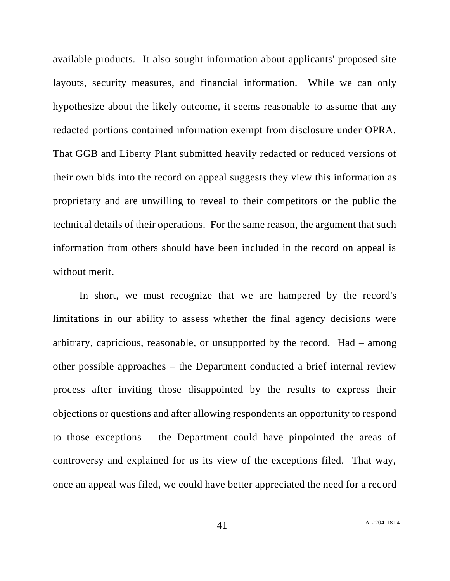available products. It also sought information about applicants' proposed site layouts, security measures, and financial information. While we can only hypothesize about the likely outcome, it seems reasonable to assume that any redacted portions contained information exempt from disclosure under OPRA. That GGB and Liberty Plant submitted heavily redacted or reduced versions of their own bids into the record on appeal suggests they view this information as proprietary and are unwilling to reveal to their competitors or the public the technical details of their operations. For the same reason, the argument that such information from others should have been included in the record on appeal is without merit.

In short, we must recognize that we are hampered by the record's limitations in our ability to assess whether the final agency decisions were arbitrary, capricious, reasonable, or unsupported by the record. Had – among other possible approaches – the Department conducted a brief internal review process after inviting those disappointed by the results to express their objections or questions and after allowing respondents an opportunity to respond to those exceptions – the Department could have pinpointed the areas of controversy and explained for us its view of the exceptions filed. That way, once an appeal was filed, we could have better appreciated the need for a record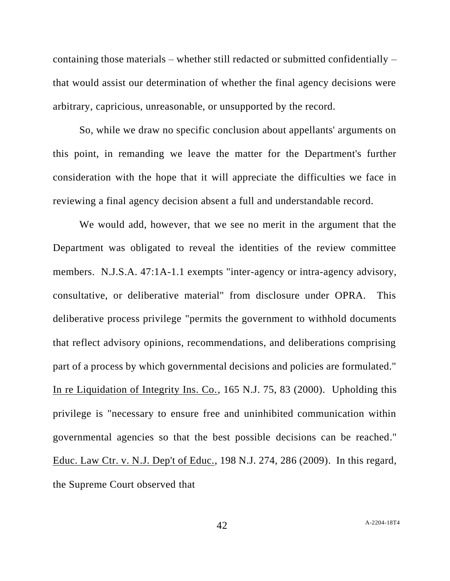containing those materials – whether still redacted or submitted confidentially – that would assist our determination of whether the final agency decisions were arbitrary, capricious, unreasonable, or unsupported by the record.

So, while we draw no specific conclusion about appellants' arguments on this point, in remanding we leave the matter for the Department's further consideration with the hope that it will appreciate the difficulties we face in reviewing a final agency decision absent a full and understandable record.

We would add, however, that we see no merit in the argument that the Department was obligated to reveal the identities of the review committee members. N.J.S.A. 47:1A-1.1 exempts "inter-agency or intra-agency advisory, consultative, or deliberative material" from disclosure under OPRA. This deliberative process privilege "permits the government to withhold documents that reflect advisory opinions, recommendations, and deliberations comprising part of a process by which governmental decisions and policies are formulated." In re Liquidation of Integrity Ins. Co., 165 N.J. 75, 83 (2000). Upholding this privilege is "necessary to ensure free and uninhibited communication within governmental agencies so that the best possible decisions can be reached." Educ. Law Ctr. v. N.J. Dep't of Educ., 198 N.J. 274, 286 (2009). In this regard, the Supreme Court observed that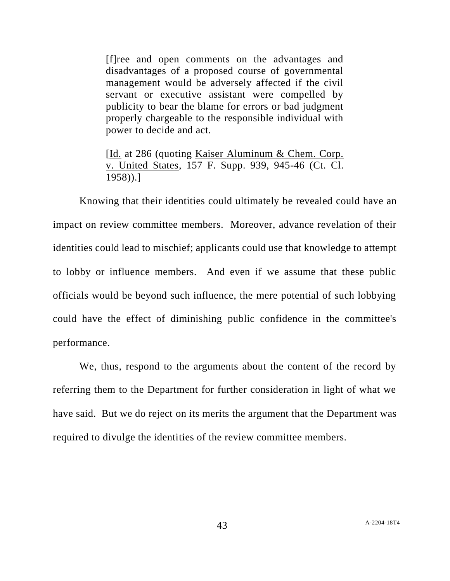[f]ree and open comments on the advantages and disadvantages of a proposed course of governmental management would be adversely affected if the civil servant or executive assistant were compelled by publicity to bear the blame for errors or bad judgment properly chargeable to the responsible individual with power to decide and act.

[Id. at 286 (quoting Kaiser Aluminum & Chem. Corp. v. United States, 157 F. Supp. 939, 945-46 (Ct. Cl. 1958)).]

Knowing that their identities could ultimately be revealed could have an impact on review committee members. Moreover, advance revelation of their identities could lead to mischief; applicants could use that knowledge to attempt to lobby or influence members. And even if we assume that these public officials would be beyond such influence, the mere potential of such lobbying could have the effect of diminishing public confidence in the committee's performance.

We, thus, respond to the arguments about the content of the record by referring them to the Department for further consideration in light of what we have said. But we do reject on its merits the argument that the Department was required to divulge the identities of the review committee members.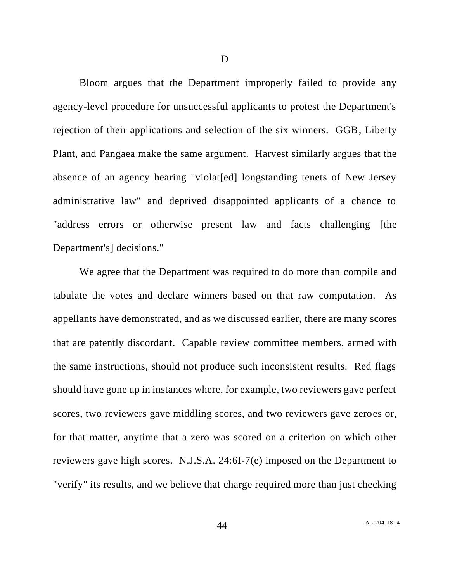Bloom argues that the Department improperly failed to provide any agency-level procedure for unsuccessful applicants to protest the Department's rejection of their applications and selection of the six winners. GGB, Liberty Plant, and Pangaea make the same argument. Harvest similarly argues that the absence of an agency hearing "violat[ed] longstanding tenets of New Jersey administrative law" and deprived disappointed applicants of a chance to "address errors or otherwise present law and facts challenging [the Department's] decisions."

We agree that the Department was required to do more than compile and tabulate the votes and declare winners based on that raw computation. As appellants have demonstrated, and as we discussed earlier, there are many scores that are patently discordant. Capable review committee members, armed with the same instructions, should not produce such inconsistent results. Red flags should have gone up in instances where, for example, two reviewers gave perfect scores, two reviewers gave middling scores, and two reviewers gave zeroes or, for that matter, anytime that a zero was scored on a criterion on which other reviewers gave high scores. N.J.S.A. 24:6I-7(e) imposed on the Department to "verify" its results, and we believe that charge required more than just checking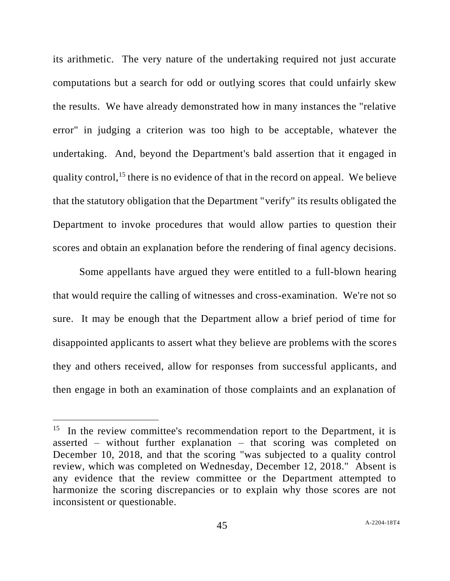its arithmetic. The very nature of the undertaking required not just accurate computations but a search for odd or outlying scores that could unfairly skew the results. We have already demonstrated how in many instances the "relative error" in judging a criterion was too high to be acceptable, whatever the undertaking. And, beyond the Department's bald assertion that it engaged in quality control,<sup>15</sup> there is no evidence of that in the record on appeal. We believe that the statutory obligation that the Department "verify" its results obligated the Department to invoke procedures that would allow parties to question their scores and obtain an explanation before the rendering of final agency decisions.

Some appellants have argued they were entitled to a full-blown hearing that would require the calling of witnesses and cross-examination. We're not so sure. It may be enough that the Department allow a brief period of time for disappointed applicants to assert what they believe are problems with the scores they and others received, allow for responses from successful applicants, and then engage in both an examination of those complaints and an explanation of

 $15$  In the review committee's recommendation report to the Department, it is asserted – without further explanation – that scoring was completed on December 10, 2018, and that the scoring "was subjected to a quality control review, which was completed on Wednesday, December 12, 2018." Absent is any evidence that the review committee or the Department attempted to harmonize the scoring discrepancies or to explain why those scores are not inconsistent or questionable.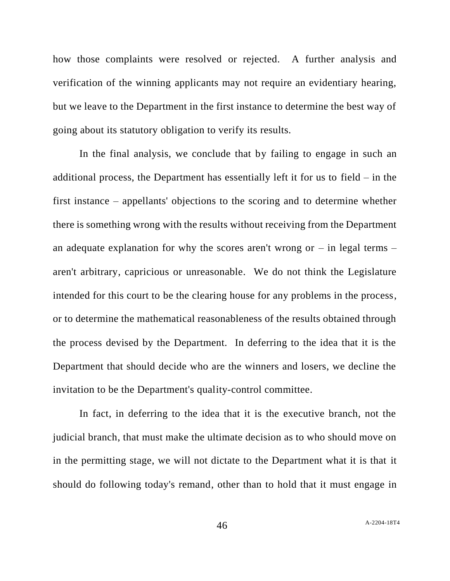how those complaints were resolved or rejected. A further analysis and verification of the winning applicants may not require an evidentiary hearing, but we leave to the Department in the first instance to determine the best way of going about its statutory obligation to verify its results.

In the final analysis, we conclude that by failing to engage in such an additional process, the Department has essentially left it for us to field – in the first instance – appellants' objections to the scoring and to determine whether there is something wrong with the results without receiving from the Department an adequate explanation for why the scores aren't wrong or  $-$  in legal terms  $$ aren't arbitrary, capricious or unreasonable. We do not think the Legislature intended for this court to be the clearing house for any problems in the process, or to determine the mathematical reasonableness of the results obtained through the process devised by the Department. In deferring to the idea that it is the Department that should decide who are the winners and losers, we decline the invitation to be the Department's quality-control committee.

In fact, in deferring to the idea that it is the executive branch, not the judicial branch, that must make the ultimate decision as to who should move on in the permitting stage, we will not dictate to the Department what it is that it should do following today's remand, other than to hold that it must engage in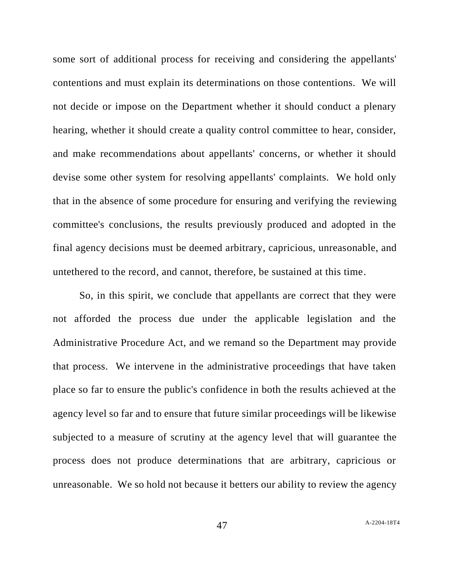some sort of additional process for receiving and considering the appellants' contentions and must explain its determinations on those contentions. We will not decide or impose on the Department whether it should conduct a plenary hearing, whether it should create a quality control committee to hear, consider, and make recommendations about appellants' concerns, or whether it should devise some other system for resolving appellants' complaints. We hold only that in the absence of some procedure for ensuring and verifying the reviewing committee's conclusions, the results previously produced and adopted in the final agency decisions must be deemed arbitrary, capricious, unreasonable, and untethered to the record, and cannot, therefore, be sustained at this time.

So, in this spirit, we conclude that appellants are correct that they were not afforded the process due under the applicable legislation and the Administrative Procedure Act, and we remand so the Department may provide that process. We intervene in the administrative proceedings that have taken place so far to ensure the public's confidence in both the results achieved at the agency level so far and to ensure that future similar proceedings will be likewise subjected to a measure of scrutiny at the agency level that will guarantee the process does not produce determinations that are arbitrary, capricious or unreasonable. We so hold not because it betters our ability to review the agency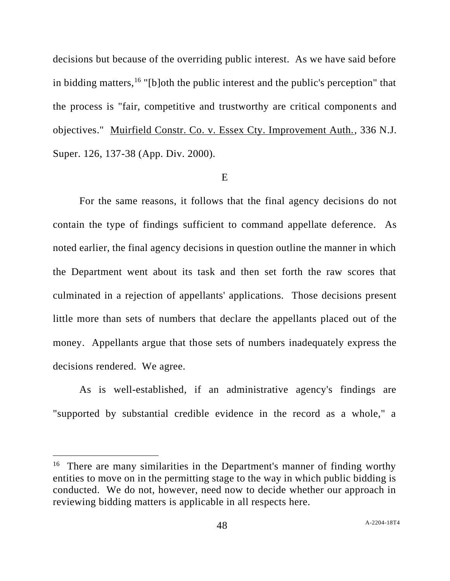decisions but because of the overriding public interest. As we have said before in bidding matters, <sup>16</sup> "[b]oth the public interest and the public's perception" that the process is "fair, competitive and trustworthy are critical components and objectives." Muirfield Constr. Co. v. Essex Cty. Improvement Auth., 336 N.J. Super. 126, 137-38 (App. Div. 2000).

## E

For the same reasons, it follows that the final agency decisions do not contain the type of findings sufficient to command appellate deference. As noted earlier, the final agency decisions in question outline the manner in which the Department went about its task and then set forth the raw scores that culminated in a rejection of appellants' applications. Those decisions present little more than sets of numbers that declare the appellants placed out of the money. Appellants argue that those sets of numbers inadequately express the decisions rendered. We agree.

As is well-established, if an administrative agency's findings are "supported by substantial credible evidence in the record as a whole," a

<sup>&</sup>lt;sup>16</sup> There are many similarities in the Department's manner of finding worthy entities to move on in the permitting stage to the way in which public bidding is conducted. We do not, however, need now to decide whether our approach in reviewing bidding matters is applicable in all respects here.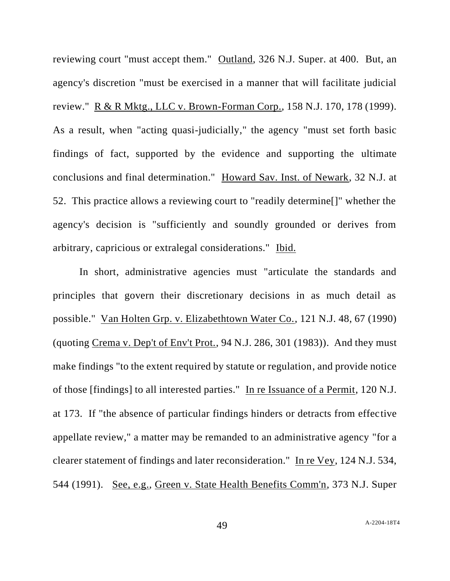reviewing court "must accept them." Outland, 326 N.J. Super. at 400. But, an agency's discretion "must be exercised in a manner that will facilitate judicial review." R & R Mktg., LLC v. Brown-Forman Corp., 158 N.J. 170, 178 (1999). As a result, when "acting quasi-judicially," the agency "must set forth basic findings of fact, supported by the evidence and supporting the ultimate conclusions and final determination." Howard Sav. Inst. of Newark, 32 N.J. at 52. This practice allows a reviewing court to "readily determine[]" whether the agency's decision is "sufficiently and soundly grounded or derives from arbitrary, capricious or extralegal considerations." Ibid.

In short, administrative agencies must "articulate the standards and principles that govern their discretionary decisions in as much detail as possible." Van Holten Grp. v. Elizabethtown Water Co., 121 N.J. 48, 67 (1990) (quoting Crema v. Dep't of Env't Prot., 94 N.J. 286, 301 (1983)). And they must make findings "to the extent required by statute or regulation, and provide notice of those [findings] to all interested parties." In re Issuance of a Permit, 120 N.J. at 173. If "the absence of particular findings hinders or detracts from effective appellate review," a matter may be remanded to an administrative agency "for a clearer statement of findings and later reconsideration." In re Vey, 124 N.J. 534, 544 (1991). See, e.g., Green v. State Health Benefits Comm'n, 373 N.J. Super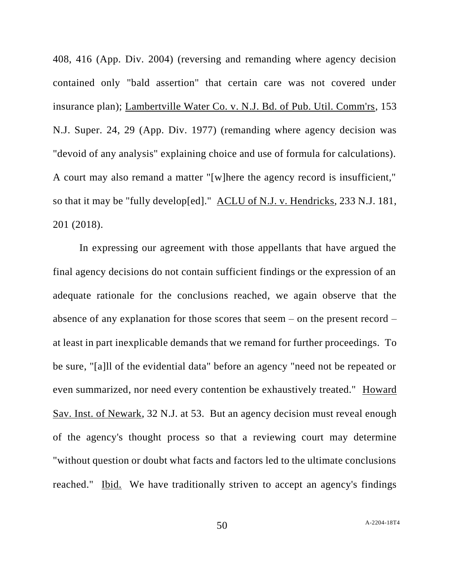408, 416 (App. Div. 2004) (reversing and remanding where agency decision contained only "bald assertion" that certain care was not covered under insurance plan); Lambertville Water Co. v. N.J. Bd. of Pub. Util. Comm'rs, 153 N.J. Super. 24, 29 (App. Div. 1977) (remanding where agency decision was "devoid of any analysis" explaining choice and use of formula for calculations). A court may also remand a matter "[w]here the agency record is insufficient," so that it may be "fully develop[ed]." ACLU of N.J. v. Hendricks, 233 N.J. 181, 201 (2018).

In expressing our agreement with those appellants that have argued the final agency decisions do not contain sufficient findings or the expression of an adequate rationale for the conclusions reached, we again observe that the absence of any explanation for those scores that seem – on the present record – at least in part inexplicable demands that we remand for further proceedings. To be sure, "[a]ll of the evidential data" before an agency "need not be repeated or even summarized, nor need every contention be exhaustively treated." Howard Sav. Inst. of Newark, 32 N.J. at 53. But an agency decision must reveal enough of the agency's thought process so that a reviewing court may determine "without question or doubt what facts and factors led to the ultimate conclusions reached." Ibid. We have traditionally striven to accept an agency's findings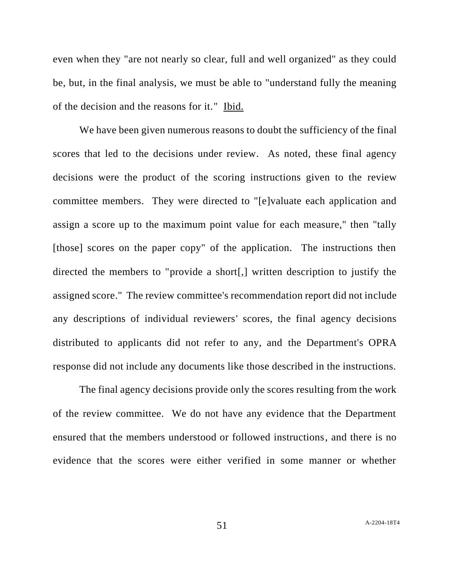even when they "are not nearly so clear, full and well organized" as they could be, but, in the final analysis, we must be able to "understand fully the meaning of the decision and the reasons for it." Ibid.

We have been given numerous reasons to doubt the sufficiency of the final scores that led to the decisions under review. As noted, these final agency decisions were the product of the scoring instructions given to the review committee members. They were directed to "[e]valuate each application and assign a score up to the maximum point value for each measure," then "tally [those] scores on the paper copy" of the application. The instructions then directed the members to "provide a short[,] written description to justify the assigned score." The review committee's recommendation report did not include any descriptions of individual reviewers' scores, the final agency decisions distributed to applicants did not refer to any, and the Department's OPRA response did not include any documents like those described in the instructions.

The final agency decisions provide only the scores resulting from the work of the review committee. We do not have any evidence that the Department ensured that the members understood or followed instructions, and there is no evidence that the scores were either verified in some manner or whether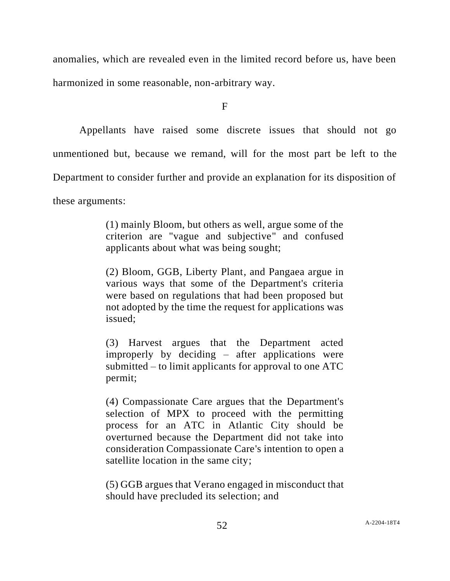anomalies, which are revealed even in the limited record before us, have been harmonized in some reasonable, non-arbitrary way.

F

Appellants have raised some discrete issues that should not go unmentioned but, because we remand, will for the most part be left to the Department to consider further and provide an explanation for its disposition of these arguments:

> (1) mainly Bloom, but others as well, argue some of the criterion are "vague and subjective" and confused applicants about what was being sought;

> (2) Bloom, GGB, Liberty Plant, and Pangaea argue in various ways that some of the Department's criteria were based on regulations that had been proposed but not adopted by the time the request for applications was issued;

> (3) Harvest argues that the Department acted improperly by deciding – after applications were submitted – to limit applicants for approval to one ATC permit;

> (4) Compassionate Care argues that the Department's selection of MPX to proceed with the permitting process for an ATC in Atlantic City should be overturned because the Department did not take into consideration Compassionate Care's intention to open a satellite location in the same city;

> (5) GGB argues that Verano engaged in misconduct that should have precluded its selection; and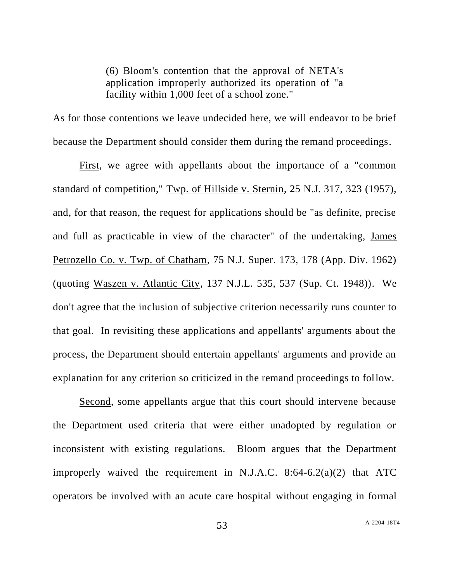(6) Bloom's contention that the approval of NETA's application improperly authorized its operation of "a facility within 1,000 feet of a school zone."

As for those contentions we leave undecided here, we will endeavor to be brief because the Department should consider them during the remand proceedings.

First, we agree with appellants about the importance of a "common standard of competition," Twp. of Hillside v. Sternin, 25 N.J. 317, 323 (1957), and, for that reason, the request for applications should be "as definite, precise and full as practicable in view of the character" of the undertaking, James Petrozello Co. v. Twp. of Chatham, 75 N.J. Super. 173, 178 (App. Div. 1962) (quoting Waszen v. Atlantic City, 137 N.J.L. 535, 537 (Sup. Ct. 1948)). We don't agree that the inclusion of subjective criterion necessarily runs counter to that goal. In revisiting these applications and appellants' arguments about the process, the Department should entertain appellants' arguments and provide an explanation for any criterion so criticized in the remand proceedings to follow.

Second, some appellants argue that this court should intervene because the Department used criteria that were either unadopted by regulation or inconsistent with existing regulations. Bloom argues that the Department improperly waived the requirement in N.J.A.C. 8:64-6.2(a)(2) that ATC operators be involved with an acute care hospital without engaging in formal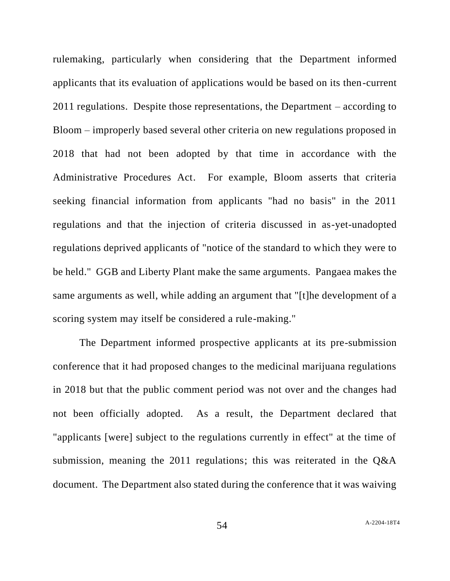rulemaking, particularly when considering that the Department informed applicants that its evaluation of applications would be based on its then-current 2011 regulations. Despite those representations, the Department – according to Bloom – improperly based several other criteria on new regulations proposed in 2018 that had not been adopted by that time in accordance with the Administrative Procedures Act. For example, Bloom asserts that criteria seeking financial information from applicants "had no basis" in the 2011 regulations and that the injection of criteria discussed in as-yet-unadopted regulations deprived applicants of "notice of the standard to which they were to be held." GGB and Liberty Plant make the same arguments. Pangaea makes the same arguments as well, while adding an argument that "[t]he development of a scoring system may itself be considered a rule-making."

The Department informed prospective applicants at its pre-submission conference that it had proposed changes to the medicinal marijuana regulations in 2018 but that the public comment period was not over and the changes had not been officially adopted. As a result, the Department declared that "applicants [were] subject to the regulations currently in effect" at the time of submission, meaning the 2011 regulations; this was reiterated in the Q&A document. The Department also stated during the conference that it was waiving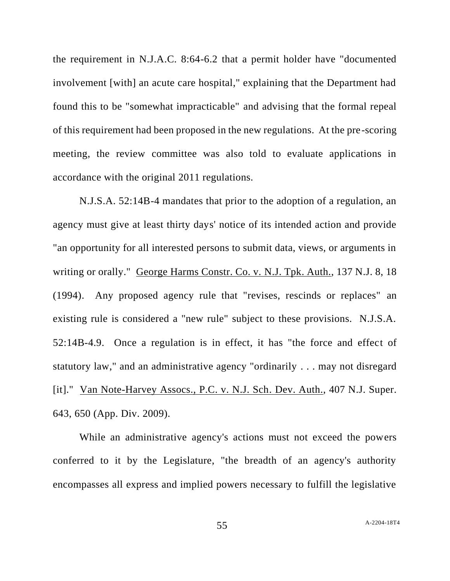the requirement in N.J.A.C. 8:64-6.2 that a permit holder have "documented involvement [with] an acute care hospital," explaining that the Department had found this to be "somewhat impracticable" and advising that the formal repeal of this requirement had been proposed in the new regulations. At the pre-scoring meeting, the review committee was also told to evaluate applications in accordance with the original 2011 regulations.

N.J.S.A. 52:14B-4 mandates that prior to the adoption of a regulation, an agency must give at least thirty days' notice of its intended action and provide "an opportunity for all interested persons to submit data, views, or arguments in writing or orally." George Harms Constr. Co. v. N.J. Tpk. Auth., 137 N.J. 8, 18 (1994). Any proposed agency rule that "revises, rescinds or replaces" an existing rule is considered a "new rule" subject to these provisions. N.J.S.A. 52:14B-4.9. Once a regulation is in effect, it has "the force and effect of statutory law," and an administrative agency "ordinarily . . . may not disregard [it]." Van Note-Harvey Assocs., P.C. v. N.J. Sch. Dev. Auth., 407 N.J. Super. 643, 650 (App. Div. 2009).

While an administrative agency's actions must not exceed the powers conferred to it by the Legislature, "the breadth of an agency's authority encompasses all express and implied powers necessary to fulfill the legislative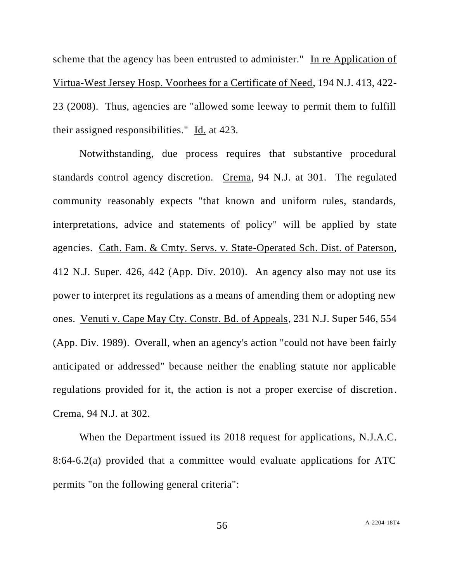scheme that the agency has been entrusted to administer." In re Application of Virtua-West Jersey Hosp. Voorhees for a Certificate of Need, 194 N.J. 413, 422- 23 (2008). Thus, agencies are "allowed some leeway to permit them to fulfill their assigned responsibilities." Id. at 423.

Notwithstanding, due process requires that substantive procedural standards control agency discretion. Crema, 94 N.J. at 301. The regulated community reasonably expects "that known and uniform rules, standards, interpretations, advice and statements of policy" will be applied by state agencies. Cath. Fam. & Cmty. Servs. v. State-Operated Sch. Dist. of Paterson, 412 N.J. Super. 426, 442 (App. Div. 2010). An agency also may not use its power to interpret its regulations as a means of amending them or adopting new ones. Venuti v. Cape May Cty. Constr. Bd. of Appeals, 231 N.J. Super 546, 554 (App. Div. 1989). Overall, when an agency's action "could not have been fairly anticipated or addressed" because neither the enabling statute nor applicable regulations provided for it, the action is not a proper exercise of discretion. Crema, 94 N.J. at 302.

When the Department issued its 2018 request for applications, N.J.A.C. 8:64-6.2(a) provided that a committee would evaluate applications for ATC permits "on the following general criteria":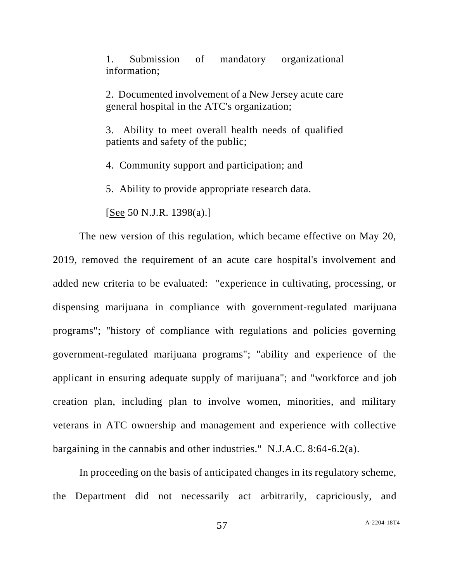1. Submission of mandatory organizational information;

2. Documented involvement of a New Jersey acute care general hospital in the ATC's organization;

3. Ability to meet overall health needs of qualified patients and safety of the public;

4. Community support and participation; and

5. Ability to provide appropriate research data.

[See 50 N.J.R. 1398(a).]

The new version of this regulation, which became effective on May 20, 2019, removed the requirement of an acute care hospital's involvement and added new criteria to be evaluated: "experience in cultivating, processing, or dispensing marijuana in compliance with government-regulated marijuana programs"; "history of compliance with regulations and policies governing government-regulated marijuana programs"; "ability and experience of the applicant in ensuring adequate supply of marijuana"; and "workforce and job creation plan, including plan to involve women, minorities, and military veterans in ATC ownership and management and experience with collective bargaining in the cannabis and other industries." N.J.A.C. 8:64-6.2(a).

In proceeding on the basis of anticipated changes in its regulatory scheme, the Department did not necessarily act arbitrarily, capriciously, and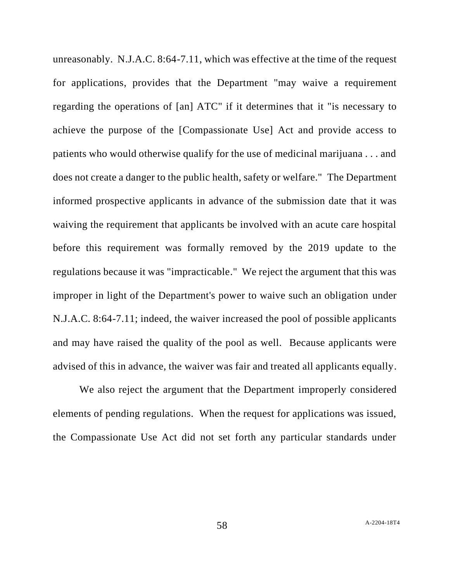unreasonably. N.J.A.C. 8:64-7.11, which was effective at the time of the request for applications, provides that the Department "may waive a requirement regarding the operations of [an] ATC" if it determines that it "is necessary to achieve the purpose of the [Compassionate Use] Act and provide access to patients who would otherwise qualify for the use of medicinal marijuana . . . and does not create a danger to the public health, safety or welfare." The Department informed prospective applicants in advance of the submission date that it was waiving the requirement that applicants be involved with an acute care hospital before this requirement was formally removed by the 2019 update to the regulations because it was "impracticable." We reject the argument that this was improper in light of the Department's power to waive such an obligation under N.J.A.C. 8:64-7.11; indeed, the waiver increased the pool of possible applicants and may have raised the quality of the pool as well. Because applicants were advised of this in advance, the waiver was fair and treated all applicants equally.

We also reject the argument that the Department improperly considered elements of pending regulations. When the request for applications was issued, the Compassionate Use Act did not set forth any particular standards under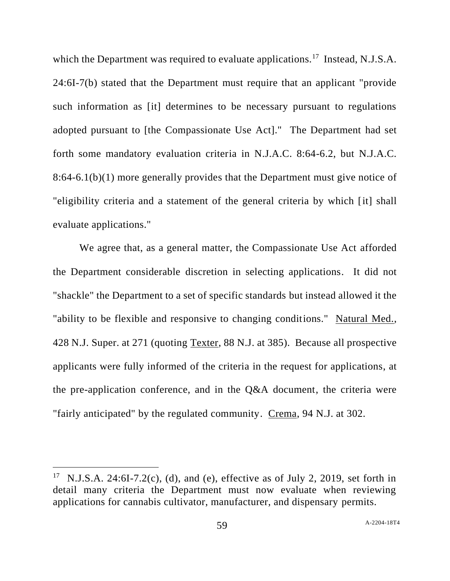which the Department was required to evaluate applications.<sup>17</sup> Instead, N.J.S.A. 24:6I-7(b) stated that the Department must require that an applicant "provide such information as [it] determines to be necessary pursuant to regulations adopted pursuant to [the Compassionate Use Act]." The Department had set forth some mandatory evaluation criteria in N.J.A.C. 8:64-6.2, but N.J.A.C. 8:64-6.1(b)(1) more generally provides that the Department must give notice of "eligibility criteria and a statement of the general criteria by which [it] shall evaluate applications."

We agree that, as a general matter, the Compassionate Use Act afforded the Department considerable discretion in selecting applications. It did not "shackle" the Department to a set of specific standards but instead allowed it the "ability to be flexible and responsive to changing conditions." Natural Med., 428 N.J. Super. at 271 (quoting Texter, 88 N.J. at 385). Because all prospective applicants were fully informed of the criteria in the request for applications, at the pre-application conference, and in the Q&A document, the criteria were "fairly anticipated" by the regulated community. Crema, 94 N.J. at 302.

<sup>&</sup>lt;sup>17</sup> N.J.S.A. 24:6I-7.2(c), (d), and (e), effective as of July 2, 2019, set forth in detail many criteria the Department must now evaluate when reviewing applications for cannabis cultivator, manufacturer, and dispensary permits.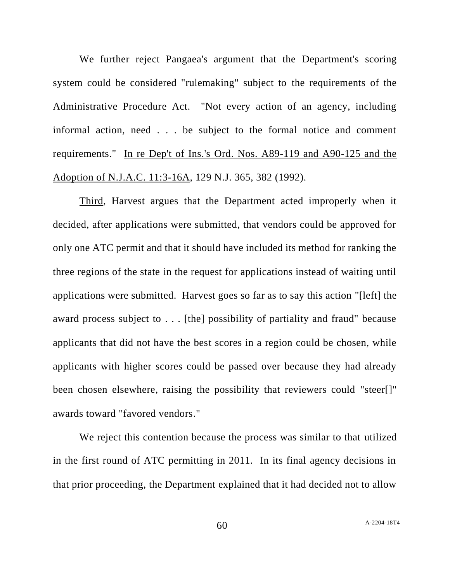We further reject Pangaea's argument that the Department's scoring system could be considered "rulemaking" subject to the requirements of the Administrative Procedure Act. "Not every action of an agency, including informal action, need . . . be subject to the formal notice and comment requirements." In re Dep't of Ins.'s Ord. Nos. A89-119 and A90-125 and the Adoption of N.J.A.C. 11:3-16A, 129 N.J. 365, 382 (1992).

Third, Harvest argues that the Department acted improperly when it decided, after applications were submitted, that vendors could be approved for only one ATC permit and that it should have included its method for ranking the three regions of the state in the request for applications instead of waiting until applications were submitted. Harvest goes so far as to say this action "[left] the award process subject to . . . [the] possibility of partiality and fraud" because applicants that did not have the best scores in a region could be chosen, while applicants with higher scores could be passed over because they had already been chosen elsewhere, raising the possibility that reviewers could "steer[]" awards toward "favored vendors."

We reject this contention because the process was similar to that utilized in the first round of ATC permitting in 2011. In its final agency decisions in that prior proceeding, the Department explained that it had decided not to allow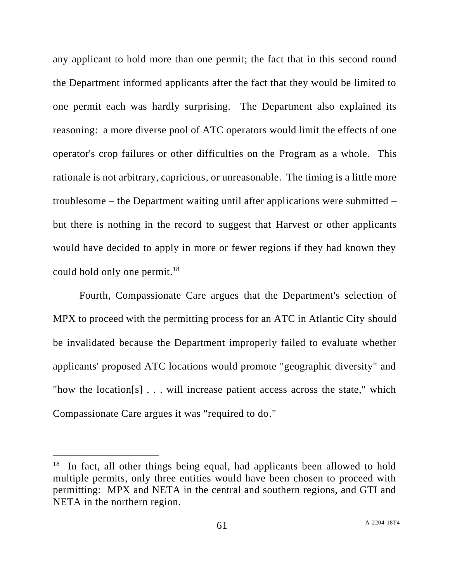any applicant to hold more than one permit; the fact that in this second round the Department informed applicants after the fact that they would be limited to one permit each was hardly surprising. The Department also explained its reasoning: a more diverse pool of ATC operators would limit the effects of one operator's crop failures or other difficulties on the Program as a whole. This rationale is not arbitrary, capricious, or unreasonable. The timing is a little more troublesome – the Department waiting until after applications were submitted – but there is nothing in the record to suggest that Harvest or other applicants would have decided to apply in more or fewer regions if they had known they could hold only one permit.<sup>18</sup>

Fourth, Compassionate Care argues that the Department's selection of MPX to proceed with the permitting process for an ATC in Atlantic City should be invalidated because the Department improperly failed to evaluate whether applicants' proposed ATC locations would promote "geographic diversity" and "how the location[s]  $\ldots$  will increase patient access across the state," which Compassionate Care argues it was "required to do."

<sup>&</sup>lt;sup>18</sup> In fact, all other things being equal, had applicants been allowed to hold multiple permits, only three entities would have been chosen to proceed with permitting: MPX and NETA in the central and southern regions, and GTI and NETA in the northern region.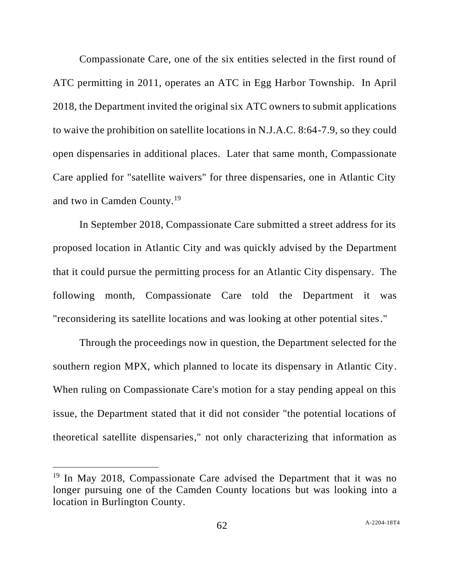Compassionate Care, one of the six entities selected in the first round of ATC permitting in 2011, operates an ATC in Egg Harbor Township. In April 2018, the Department invited the original six ATC owners to submit applications to waive the prohibition on satellite locations in N.J.A.C. 8:64-7.9, so they could open dispensaries in additional places. Later that same month, Compassionate Care applied for "satellite waivers" for three dispensaries, one in Atlantic City and two in Camden County.<sup>19</sup>

In September 2018, Compassionate Care submitted a street address for its proposed location in Atlantic City and was quickly advised by the Department that it could pursue the permitting process for an Atlantic City dispensary. The following month, Compassionate Care told the Department it was "reconsidering its satellite locations and was looking at other potential sites."

Through the proceedings now in question, the Department selected for the southern region MPX, which planned to locate its dispensary in Atlantic City. When ruling on Compassionate Care's motion for a stay pending appeal on this issue, the Department stated that it did not consider "the potential locations of theoretical satellite dispensaries," not only characterizing that information as

 $19$  In May 2018, Compassionate Care advised the Department that it was no longer pursuing one of the Camden County locations but was looking into a location in Burlington County.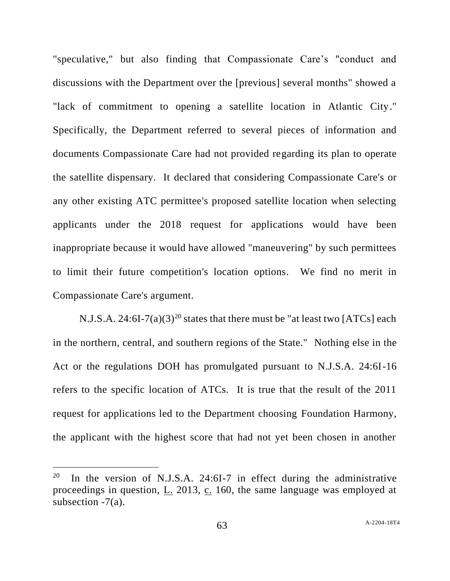"speculative," but also finding that Compassionate Care's "conduct and discussions with the Department over the [previous] several months" showed a "lack of commitment to opening a satellite location in Atlantic City." Specifically, the Department referred to several pieces of information and documents Compassionate Care had not provided regarding its plan to operate the satellite dispensary. It declared that considering Compassionate Care's or any other existing ATC permittee's proposed satellite location when selecting applicants under the 2018 request for applications would have been inappropriate because it would have allowed "maneuvering" by such permittees to limit their future competition's location options. We find no merit in Compassionate Care's argument.

N.J.S.A. 24:6I-7(a)(3)<sup>20</sup> states that there must be "at least two [ATCs] each in the northern, central, and southern regions of the State." Nothing else in the Act or the regulations DOH has promulgated pursuant to N.J.S.A. 24:6I-16 refers to the specific location of ATCs. It is true that the result of the 2011 request for applications led to the Department choosing Foundation Harmony, the applicant with the highest score that had not yet been chosen in another

<sup>20</sup> In the version of N.J.S.A. 24:6I-7 in effect during the administrative proceedings in question,  $\underline{L}$ . 2013,  $\underline{c}$ . 160, the same language was employed at subsection  $-7(a)$ .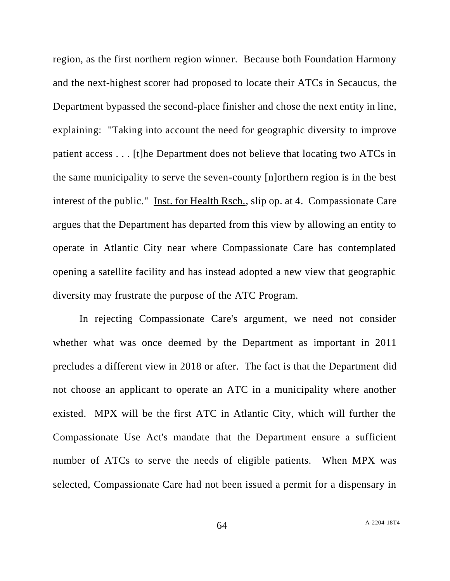region, as the first northern region winner. Because both Foundation Harmony and the next-highest scorer had proposed to locate their ATCs in Secaucus, the Department bypassed the second-place finisher and chose the next entity in line, explaining: "Taking into account the need for geographic diversity to improve patient access . . . [t]he Department does not believe that locating two ATCs in the same municipality to serve the seven-county [n]orthern region is in the best interest of the public." Inst. for Health Rsch., slip op. at 4. Compassionate Care argues that the Department has departed from this view by allowing an entity to operate in Atlantic City near where Compassionate Care has contemplated opening a satellite facility and has instead adopted a new view that geographic diversity may frustrate the purpose of the ATC Program.

In rejecting Compassionate Care's argument, we need not consider whether what was once deemed by the Department as important in 2011 precludes a different view in 2018 or after. The fact is that the Department did not choose an applicant to operate an ATC in a municipality where another existed. MPX will be the first ATC in Atlantic City, which will further the Compassionate Use Act's mandate that the Department ensure a sufficient number of ATCs to serve the needs of eligible patients. When MPX was selected, Compassionate Care had not been issued a permit for a dispensary in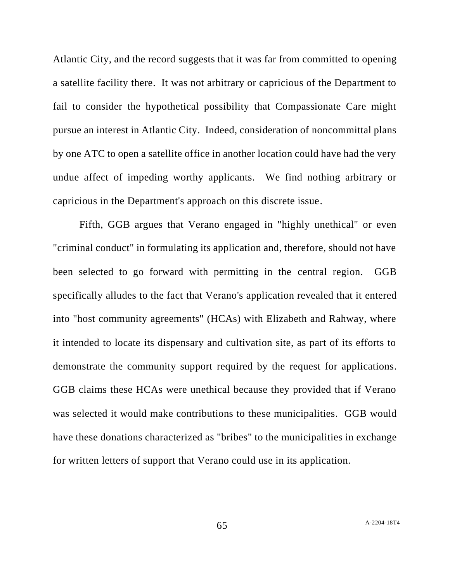Atlantic City, and the record suggests that it was far from committed to opening a satellite facility there. It was not arbitrary or capricious of the Department to fail to consider the hypothetical possibility that Compassionate Care might pursue an interest in Atlantic City. Indeed, consideration of noncommittal plans by one ATC to open a satellite office in another location could have had the very undue affect of impeding worthy applicants. We find nothing arbitrary or capricious in the Department's approach on this discrete issue.

Fifth, GGB argues that Verano engaged in "highly unethical" or even "criminal conduct" in formulating its application and, therefore, should not have been selected to go forward with permitting in the central region. GGB specifically alludes to the fact that Verano's application revealed that it entered into "host community agreements" (HCAs) with Elizabeth and Rahway, where it intended to locate its dispensary and cultivation site, as part of its efforts to demonstrate the community support required by the request for applications. GGB claims these HCAs were unethical because they provided that if Verano was selected it would make contributions to these municipalities. GGB would have these donations characterized as "bribes" to the municipalities in exchange for written letters of support that Verano could use in its application.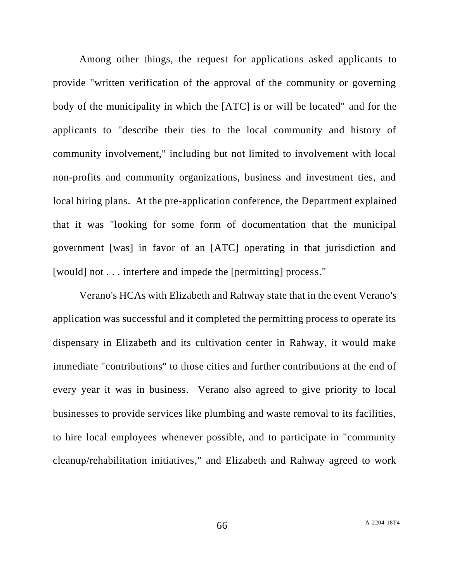Among other things, the request for applications asked applicants to provide "written verification of the approval of the community or governing body of the municipality in which the [ATC] is or will be located" and for the applicants to "describe their ties to the local community and history of community involvement," including but not limited to involvement with local non-profits and community organizations, business and investment ties, and local hiring plans. At the pre-application conference, the Department explained that it was "looking for some form of documentation that the municipal government [was] in favor of an [ATC] operating in that jurisdiction and [would] not . . . interfere and impede the [permitting] process."

Verano's HCAs with Elizabeth and Rahway state that in the event Verano's application was successful and it completed the permitting process to operate its dispensary in Elizabeth and its cultivation center in Rahway, it would make immediate "contributions" to those cities and further contributions at the end of every year it was in business. Verano also agreed to give priority to local businesses to provide services like plumbing and waste removal to its facilities, to hire local employees whenever possible, and to participate in "community cleanup/rehabilitation initiatives," and Elizabeth and Rahway agreed to work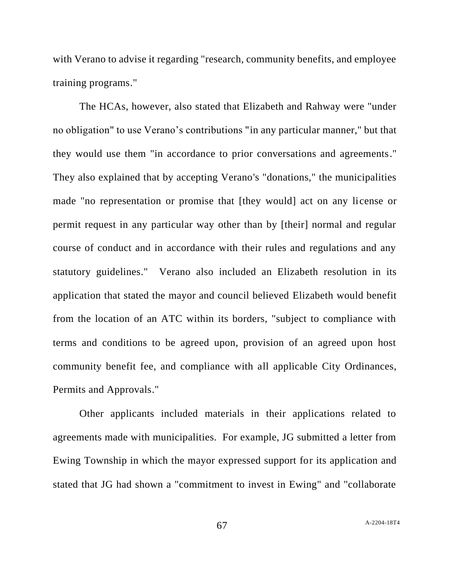with Verano to advise it regarding "research, community benefits, and employee training programs."

The HCAs, however, also stated that Elizabeth and Rahway were "under no obligation" to use Verano's contributions "in any particular manner," but that they would use them "in accordance to prior conversations and agreements." They also explained that by accepting Verano's "donations," the municipalities made "no representation or promise that [they would] act on any license or permit request in any particular way other than by [their] normal and regular course of conduct and in accordance with their rules and regulations and any statutory guidelines." Verano also included an Elizabeth resolution in its application that stated the mayor and council believed Elizabeth would benefit from the location of an ATC within its borders, "subject to compliance with terms and conditions to be agreed upon, provision of an agreed upon host community benefit fee, and compliance with all applicable City Ordinances, Permits and Approvals."

Other applicants included materials in their applications related to agreements made with municipalities. For example, JG submitted a letter from Ewing Township in which the mayor expressed support for its application and stated that JG had shown a "commitment to invest in Ewing" and "collaborate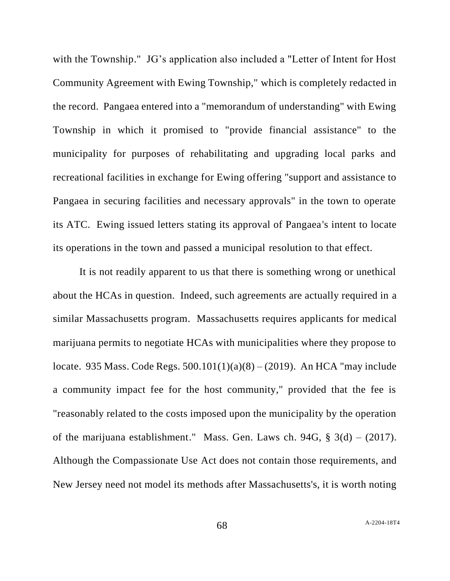with the Township." JG's application also included a "Letter of Intent for Host Community Agreement with Ewing Township," which is completely redacted in the record. Pangaea entered into a "memorandum of understanding" with Ewing Township in which it promised to "provide financial assistance" to the municipality for purposes of rehabilitating and upgrading local parks and recreational facilities in exchange for Ewing offering "support and assistance to Pangaea in securing facilities and necessary approvals" in the town to operate its ATC. Ewing issued letters stating its approval of Pangaea's intent to locate its operations in the town and passed a municipal resolution to that effect.

It is not readily apparent to us that there is something wrong or unethical about the HCAs in question. Indeed, such agreements are actually required in a similar Massachusetts program. Massachusetts requires applicants for medical marijuana permits to negotiate HCAs with municipalities where they propose to locate. 935 Mass. Code Regs. 500.101(1)(a)(8) – (2019). An HCA "may include a community impact fee for the host community," provided that the fee is "reasonably related to the costs imposed upon the municipality by the operation of the marijuana establishment." Mass. Gen. Laws ch. 94G,  $\S$  3(d) – (2017). Although the Compassionate Use Act does not contain those requirements, and New Jersey need not model its methods after Massachusetts's, it is worth noting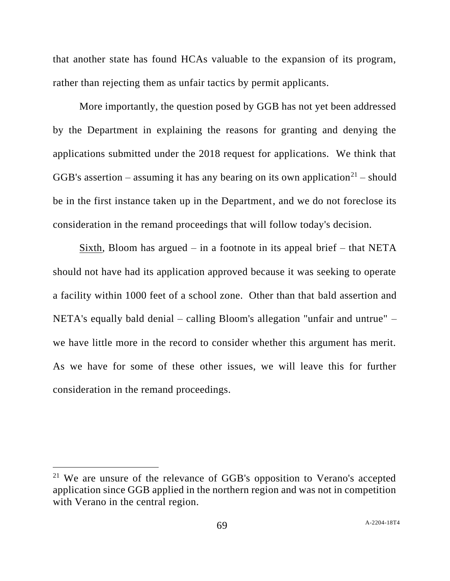that another state has found HCAs valuable to the expansion of its program, rather than rejecting them as unfair tactics by permit applicants.

More importantly, the question posed by GGB has not yet been addressed by the Department in explaining the reasons for granting and denying the applications submitted under the 2018 request for applications. We think that GGB's assertion – assuming it has any bearing on its own application<sup>21</sup> – should be in the first instance taken up in the Department, and we do not foreclose its consideration in the remand proceedings that will follow today's decision.

Sixth, Bloom has argued  $-$  in a footnote in its appeal brief  $-$  that NETA should not have had its application approved because it was seeking to operate a facility within 1000 feet of a school zone. Other than that bald assertion and NETA's equally bald denial – calling Bloom's allegation "unfair and untrue" – we have little more in the record to consider whether this argument has merit. As we have for some of these other issues, we will leave this for further consideration in the remand proceedings.

<sup>&</sup>lt;sup>21</sup> We are unsure of the relevance of GGB's opposition to Verano's accepted application since GGB applied in the northern region and was not in competition with Verano in the central region.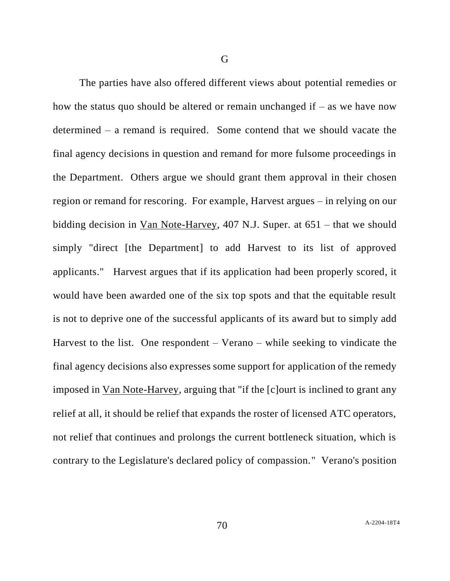The parties have also offered different views about potential remedies or how the status quo should be altered or remain unchanged if  $-$  as we have now determined – a remand is required. Some contend that we should vacate the final agency decisions in question and remand for more fulsome proceedings in the Department. Others argue we should grant them approval in their chosen region or remand for rescoring. For example, Harvest argues – in relying on our bidding decision in Van Note-Harvey, 407 N.J. Super. at 651 – that we should simply "direct [the Department] to add Harvest to its list of approved applicants." Harvest argues that if its application had been properly scored, it would have been awarded one of the six top spots and that the equitable result is not to deprive one of the successful applicants of its award but to simply add Harvest to the list. One respondent  $-$  Verano  $-$  while seeking to vindicate the final agency decisions also expresses some support for application of the remedy imposed in Van Note-Harvey, arguing that "if the [c]ourt is inclined to grant any relief at all, it should be relief that expands the roster of licensed ATC operators, not relief that continues and prolongs the current bottleneck situation, which is contrary to the Legislature's declared policy of compassion." Verano's position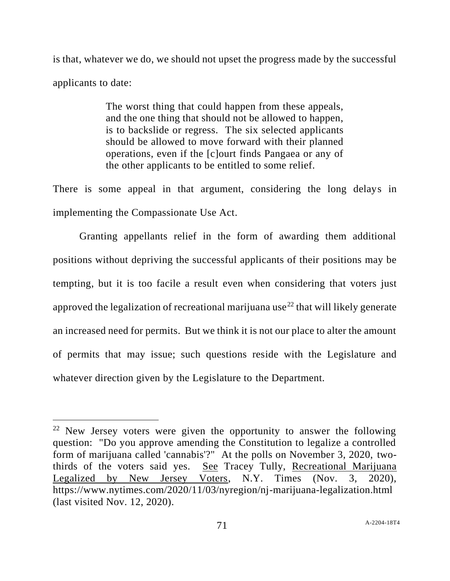is that, whatever we do, we should not upset the progress made by the successful applicants to date:

> The worst thing that could happen from these appeals, and the one thing that should not be allowed to happen, is to backslide or regress. The six selected applicants should be allowed to move forward with their planned operations, even if the [c]ourt finds Pangaea or any of the other applicants to be entitled to some relief.

There is some appeal in that argument, considering the long delays in implementing the Compassionate Use Act.

Granting appellants relief in the form of awarding them additional positions without depriving the successful applicants of their positions may be tempting, but it is too facile a result even when considering that voters just approved the legalization of recreational marijuana use<sup>22</sup> that will likely generate an increased need for permits. But we think it is not our place to alter the amount of permits that may issue; such questions reside with the Legislature and whatever direction given by the Legislature to the Department.

 $22$  New Jersey voters were given the opportunity to answer the following question: "Do you approve amending the Constitution to legalize a controlled form of marijuana called 'cannabis'?" At the polls on November 3, 2020, twothirds of the voters said yes. See Tracey Tully, Recreational Marijuana Legalized by New Jersey Voters, N.Y. Times (Nov. 3, 2020), https://www.nytimes.com/2020/11/03/nyregion/nj-marijuana-legalization.html (last visited Nov. 12, 2020).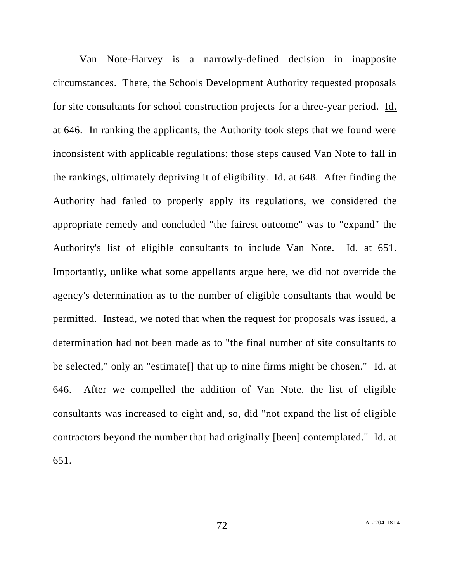Van Note-Harvey is a narrowly-defined decision in inapposite circumstances. There, the Schools Development Authority requested proposals for site consultants for school construction projects for a three-year period. Id. at 646. In ranking the applicants, the Authority took steps that we found were inconsistent with applicable regulations; those steps caused Van Note to fall in the rankings, ultimately depriving it of eligibility. Id. at 648. After finding the Authority had failed to properly apply its regulations, we considered the appropriate remedy and concluded "the fairest outcome" was to "expand" the Authority's list of eligible consultants to include Van Note. Id. at 651. Importantly, unlike what some appellants argue here, we did not override the agency's determination as to the number of eligible consultants that would be permitted. Instead, we noted that when the request for proposals was issued, a determination had not been made as to "the final number of site consultants to be selected," only an "estimate<sup>[]</sup> that up to nine firms might be chosen." Id. at 646. After we compelled the addition of Van Note, the list of eligible consultants was increased to eight and, so, did "not expand the list of eligible contractors beyond the number that had originally [been] contemplated." Id. at 651.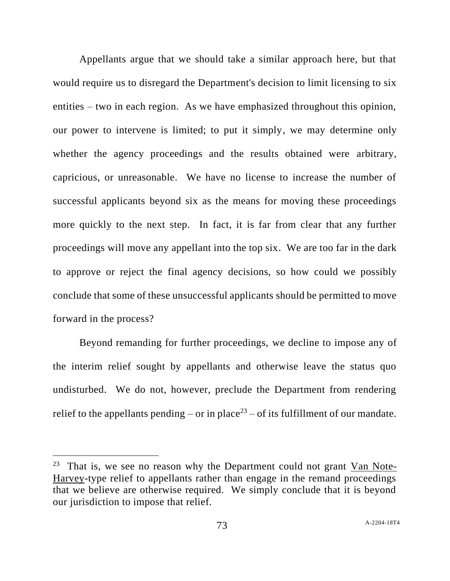Appellants argue that we should take a similar approach here, but that would require us to disregard the Department's decision to limit licensing to six entities – two in each region. As we have emphasized throughout this opinion, our power to intervene is limited; to put it simply, we may determine only whether the agency proceedings and the results obtained were arbitrary, capricious, or unreasonable. We have no license to increase the number of successful applicants beyond six as the means for moving these proceedings more quickly to the next step. In fact, it is far from clear that any further proceedings will move any appellant into the top six. We are too far in the dark to approve or reject the final agency decisions, so how could we possibly conclude that some of these unsuccessful applicants should be permitted to move forward in the process?

Beyond remanding for further proceedings, we decline to impose any of the interim relief sought by appellants and otherwise leave the status quo undisturbed. We do not, however, preclude the Department from rendering relief to the appellants pending – or in place<sup>23</sup> – of its fulfillment of our mandate.

<sup>&</sup>lt;sup>23</sup> That is, we see no reason why the Department could not grant  $Van$  Note-Harvey-type relief to appellants rather than engage in the remand proceedings that we believe are otherwise required. We simply conclude that it is beyond our jurisdiction to impose that relief.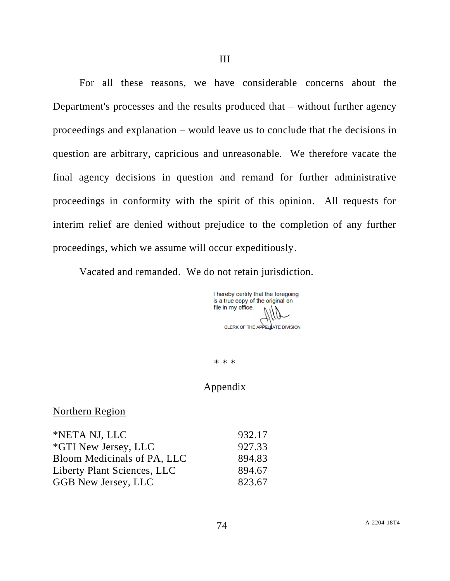For all these reasons, we have considerable concerns about the Department's processes and the results produced that – without further agency proceedings and explanation – would leave us to conclude that the decisions in question are arbitrary, capricious and unreasonable. We therefore vacate the final agency decisions in question and remand for further administrative proceedings in conformity with the spirit of this opinion. All requests for

interim relief are denied without prejudice to the completion of any further proceedings, which we assume will occur expeditiously.

Vacated and remanded. We do not retain jurisdiction.

I hereby certify that the foregoing is a true copy of the original on file in my office. CLERK OF THE APPELLATE DIVISION

\* \* \*

## Appendix

## Northern Region

| 932.17 |
|--------|
| 927.33 |
| 894.83 |
| 894.67 |
| 823.67 |
|        |